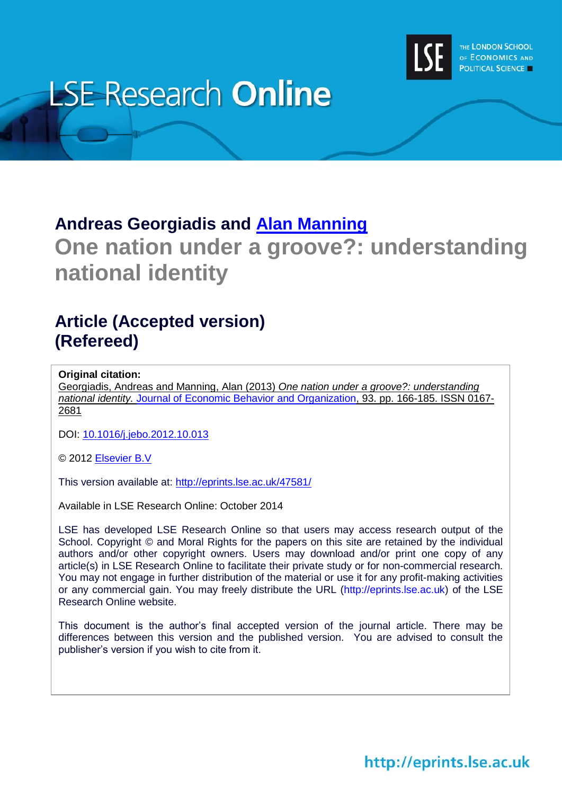

# **LSE Research Online**

## **Andreas Georgiadis and [Alan Manning](http://www.lse.ac.uk/researchAndExpertise/Experts/profile.aspx?KeyValue=a.manning%40lse.ac.uk)**

# **One nation under a groove?: understanding national identity**

### **Article (Accepted version) (Refereed)**

#### **Original citation:**

Georgiadis, Andreas and Manning, Alan (2013) *One nation under a groove?: understanding national identity.* [Journal of Economic Behavior and Organization,](http://www.sciencedirect.com/science/journal/01672681) 93. pp. 166-185. ISSN 0167- 2681

DOI: [10.1016/j.jebo.2012.10.013](http://dx.doi.org/10.1016/j.jebo.2012.10.013)

© 2012 [Elsevier B.V](http://www.elsevier.com/)

This version available at:<http://eprints.lse.ac.uk/47581/>

Available in LSE Research Online: October 2014

LSE has developed LSE Research Online so that users may access research output of the School. Copyright © and Moral Rights for the papers on this site are retained by the individual authors and/or other copyright owners. Users may download and/or print one copy of any article(s) in LSE Research Online to facilitate their private study or for non-commercial research. You may not engage in further distribution of the material or use it for any profit-making activities or any commercial gain. You may freely distribute the URL (http://eprints.lse.ac.uk) of the LSE Research Online website.

This document is the author's final accepted version of the journal article. There may be differences between this version and the published version. You are advised to consult the publisher's version if you wish to cite from it.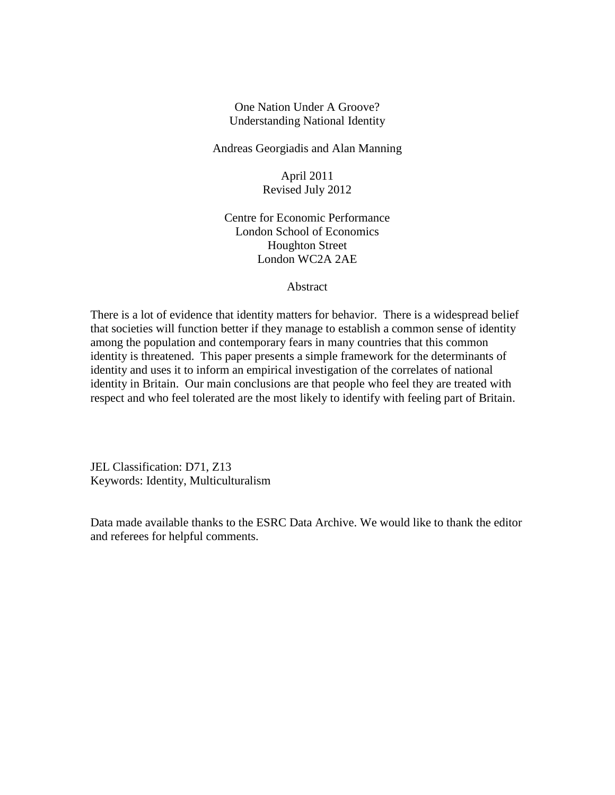One Nation Under A Groove? Understanding National Identity

Andreas Georgiadis and Alan Manning

April 2011 Revised July 2012

Centre for Economic Performance London School of Economics Houghton Street London WC2A 2AE

Abstract

There is a lot of evidence that identity matters for behavior. There is a widespread belief that societies will function better if they manage to establish a common sense of identity among the population and contemporary fears in many countries that this common identity is threatened. This paper presents a simple framework for the determinants of identity and uses it to inform an empirical investigation of the correlates of national identity in Britain. Our main conclusions are that people who feel they are treated with respect and who feel tolerated are the most likely to identify with feeling part of Britain.

JEL Classification: D71, Z13 Keywords: Identity, Multiculturalism

Data made available thanks to the ESRC Data Archive. We would like to thank the editor and referees for helpful comments.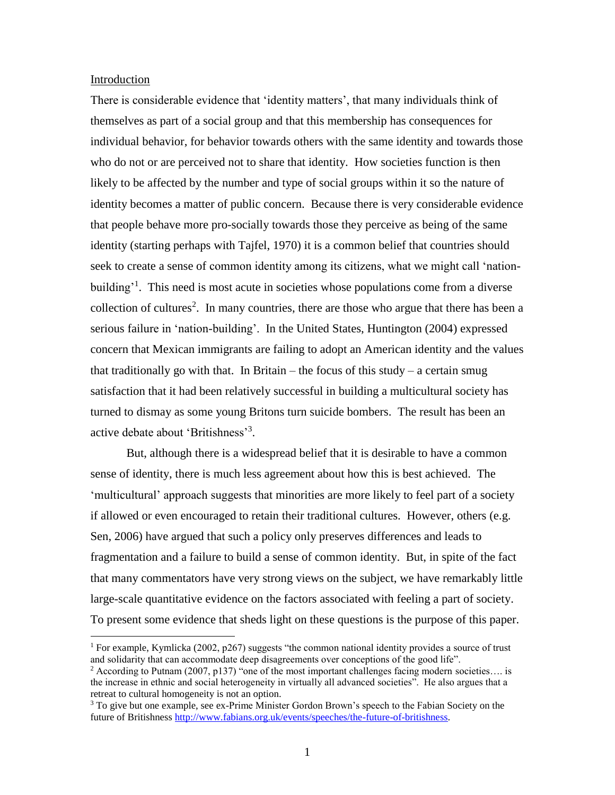#### Introduction

 $\overline{a}$ 

There is considerable evidence that 'identity matters', that many individuals think of themselves as part of a social group and that this membership has consequences for individual behavior, for behavior towards others with the same identity and towards those who do not or are perceived not to share that identity. How societies function is then likely to be affected by the number and type of social groups within it so the nature of identity becomes a matter of public concern. Because there is very considerable evidence that people behave more pro-socially towards those they perceive as being of the same identity (starting perhaps with Tajfel, 1970) it is a common belief that countries should seek to create a sense of common identity among its citizens, what we might call 'nationbuilding<sup>-1</sup>. This need is most acute in societies whose populations come from a diverse collection of cultures<sup>2</sup>. In many countries, there are those who argue that there has been a serious failure in 'nation-building'. In the United States, Huntington (2004) expressed concern that Mexican immigrants are failing to adopt an American identity and the values that traditionally go with that. In Britain – the focus of this study – a certain smug satisfaction that it had been relatively successful in building a multicultural society has turned to dismay as some young Britons turn suicide bombers. The result has been an active debate about 'Britishness'<sup>3</sup> .

But, although there is a widespread belief that it is desirable to have a common sense of identity, there is much less agreement about how this is best achieved. The 'multicultural' approach suggests that minorities are more likely to feel part of a society if allowed or even encouraged to retain their traditional cultures. However, others (e.g. Sen, 2006) have argued that such a policy only preserves differences and leads to fragmentation and a failure to build a sense of common identity. But, in spite of the fact that many commentators have very strong views on the subject, we have remarkably little large-scale quantitative evidence on the factors associated with feeling a part of society. To present some evidence that sheds light on these questions is the purpose of this paper.

<sup>&</sup>lt;sup>1</sup> For example, Kymlicka (2002, p267) suggests "the common national identity provides a source of trust and solidarity that can accommodate deep disagreements over conceptions of the good life".

<sup>&</sup>lt;sup>2</sup> According to Putnam (2007, p137) "one of the most important challenges facing modern societies.... is the increase in ethnic and social heterogeneity in virtually all advanced societies". He also argues that a retreat to cultural homogeneity is not an option.

 $3$  To give but one example, see ex-Prime Minister Gordon Brown's speech to the Fabian Society on the future of Britishness [http://www.fabians.org.uk/events/speeches/the-future-of-britishness.](http://www.fabians.org.uk/events/speeches/the-future-of-britishness)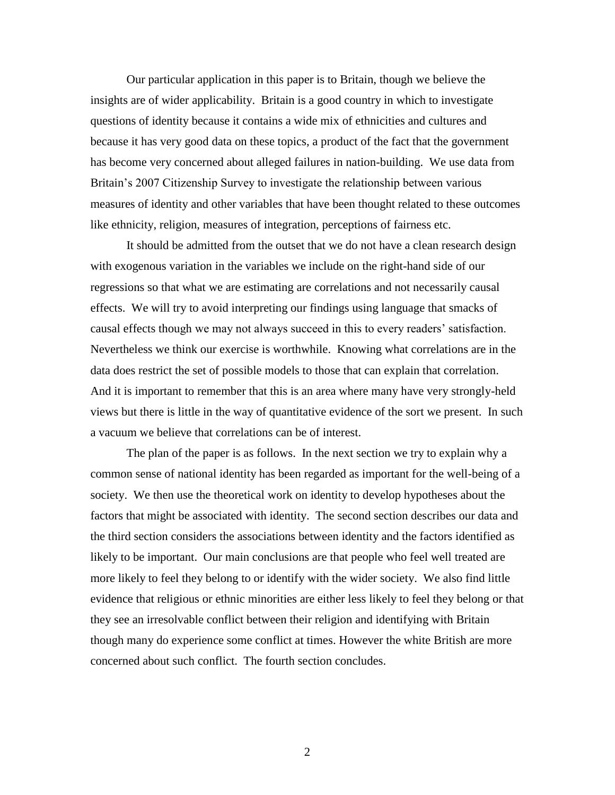Our particular application in this paper is to Britain, though we believe the insights are of wider applicability. Britain is a good country in which to investigate questions of identity because it contains a wide mix of ethnicities and cultures and because it has very good data on these topics, a product of the fact that the government has become very concerned about alleged failures in nation-building. We use data from Britain's 2007 Citizenship Survey to investigate the relationship between various measures of identity and other variables that have been thought related to these outcomes like ethnicity, religion, measures of integration, perceptions of fairness etc.

It should be admitted from the outset that we do not have a clean research design with exogenous variation in the variables we include on the right-hand side of our regressions so that what we are estimating are correlations and not necessarily causal effects. We will try to avoid interpreting our findings using language that smacks of causal effects though we may not always succeed in this to every readers' satisfaction. Nevertheless we think our exercise is worthwhile. Knowing what correlations are in the data does restrict the set of possible models to those that can explain that correlation. And it is important to remember that this is an area where many have very strongly-held views but there is little in the way of quantitative evidence of the sort we present. In such a vacuum we believe that correlations can be of interest.

The plan of the paper is as follows. In the next section we try to explain why a common sense of national identity has been regarded as important for the well-being of a society. We then use the theoretical work on identity to develop hypotheses about the factors that might be associated with identity. The second section describes our data and the third section considers the associations between identity and the factors identified as likely to be important. Our main conclusions are that people who feel well treated are more likely to feel they belong to or identify with the wider society. We also find little evidence that religious or ethnic minorities are either less likely to feel they belong or that they see an irresolvable conflict between their religion and identifying with Britain though many do experience some conflict at times. However the white British are more concerned about such conflict. The fourth section concludes.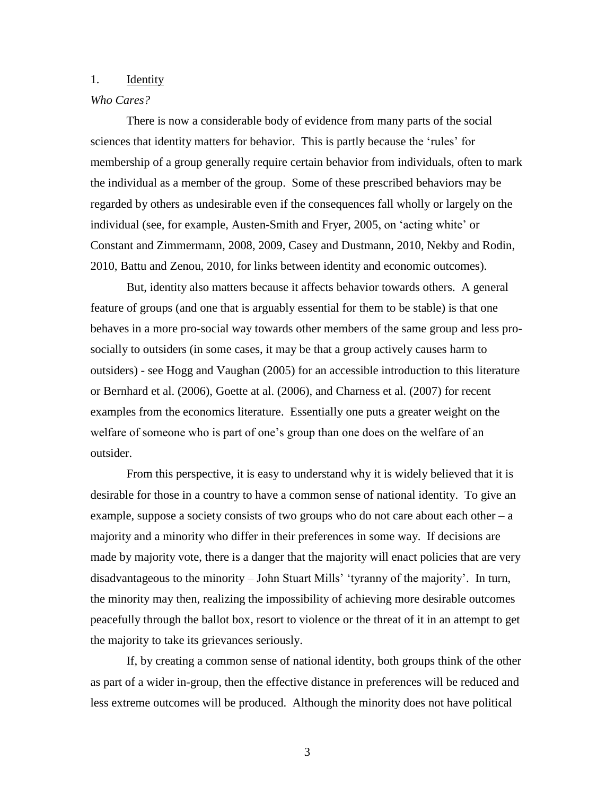#### 1. Identity

#### *Who Cares?*

There is now a considerable body of evidence from many parts of the social sciences that identity matters for behavior. This is partly because the 'rules' for membership of a group generally require certain behavior from individuals, often to mark the individual as a member of the group. Some of these prescribed behaviors may be regarded by others as undesirable even if the consequences fall wholly or largely on the individual (see, for example, Austen-Smith and Fryer, 2005, on 'acting white' or Constant and Zimmermann, 2008, 2009, Casey and Dustmann, 2010, Nekby and Rodin, 2010, Battu and Zenou, 2010, for links between identity and economic outcomes).

But, identity also matters because it affects behavior towards others. A general feature of groups (and one that is arguably essential for them to be stable) is that one behaves in a more pro-social way towards other members of the same group and less prosocially to outsiders (in some cases, it may be that a group actively causes harm to outsiders) - see Hogg and Vaughan (2005) for an accessible introduction to this literature or Bernhard et al. (2006), Goette at al. (2006), and Charness et al. (2007) for recent examples from the economics literature. Essentially one puts a greater weight on the welfare of someone who is part of one's group than one does on the welfare of an outsider.

From this perspective, it is easy to understand why it is widely believed that it is desirable for those in a country to have a common sense of national identity. To give an example, suppose a society consists of two groups who do not care about each other  $-$  a majority and a minority who differ in their preferences in some way. If decisions are made by majority vote, there is a danger that the majority will enact policies that are very disadvantageous to the minority – John Stuart Mills' 'tyranny of the majority'. In turn, the minority may then, realizing the impossibility of achieving more desirable outcomes peacefully through the ballot box, resort to violence or the threat of it in an attempt to get the majority to take its grievances seriously.

If, by creating a common sense of national identity, both groups think of the other as part of a wider in-group, then the effective distance in preferences will be reduced and less extreme outcomes will be produced. Although the minority does not have political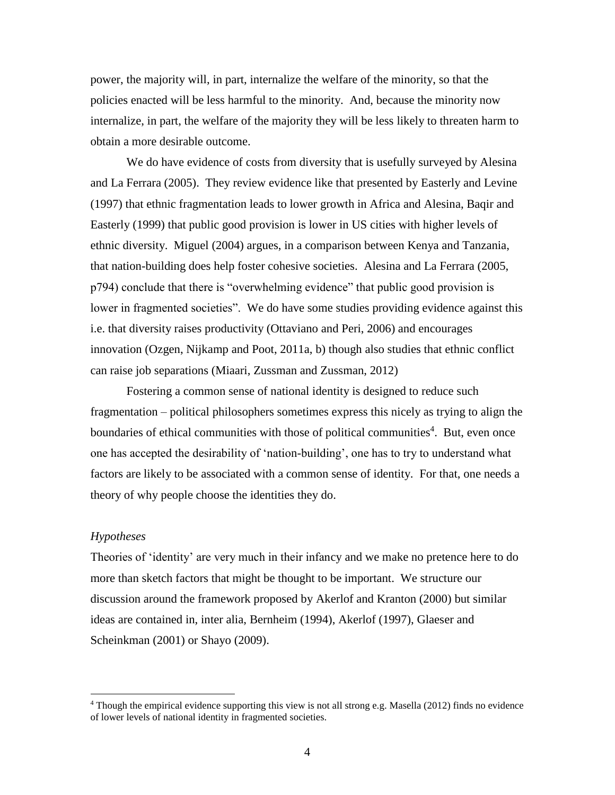power, the majority will, in part, internalize the welfare of the minority, so that the policies enacted will be less harmful to the minority. And, because the minority now internalize, in part, the welfare of the majority they will be less likely to threaten harm to obtain a more desirable outcome.

We do have evidence of costs from diversity that is usefully surveyed by Alesina and La Ferrara (2005). They review evidence like that presented by Easterly and Levine (1997) that ethnic fragmentation leads to lower growth in Africa and Alesina, Baqir and Easterly (1999) that public good provision is lower in US cities with higher levels of ethnic diversity. Miguel (2004) argues, in a comparison between Kenya and Tanzania, that nation-building does help foster cohesive societies. Alesina and La Ferrara (2005, p794) conclude that there is "overwhelming evidence" that public good provision is lower in fragmented societies". We do have some studies providing evidence against this i.e. that diversity raises productivity (Ottaviano and Peri, 2006) and encourages innovation (Ozgen, Nijkamp and Poot, 2011a, b) though also studies that ethnic conflict can raise job separations (Miaari, Zussman and Zussman, 2012)

Fostering a common sense of national identity is designed to reduce such fragmentation – political philosophers sometimes express this nicely as trying to align the boundaries of ethical communities with those of political communities<sup>4</sup>. But, even once one has accepted the desirability of 'nation-building', one has to try to understand what factors are likely to be associated with a common sense of identity. For that, one needs a theory of why people choose the identities they do.

#### *Hypotheses*

 $\overline{a}$ 

Theories of 'identity' are very much in their infancy and we make no pretence here to do more than sketch factors that might be thought to be important. We structure our discussion around the framework proposed by Akerlof and Kranton (2000) but similar ideas are contained in, inter alia, Bernheim (1994), Akerlof (1997), Glaeser and Scheinkman (2001) or Shayo (2009).

<sup>4</sup> Though the empirical evidence supporting this view is not all strong e.g. Masella (2012) finds no evidence of lower levels of national identity in fragmented societies.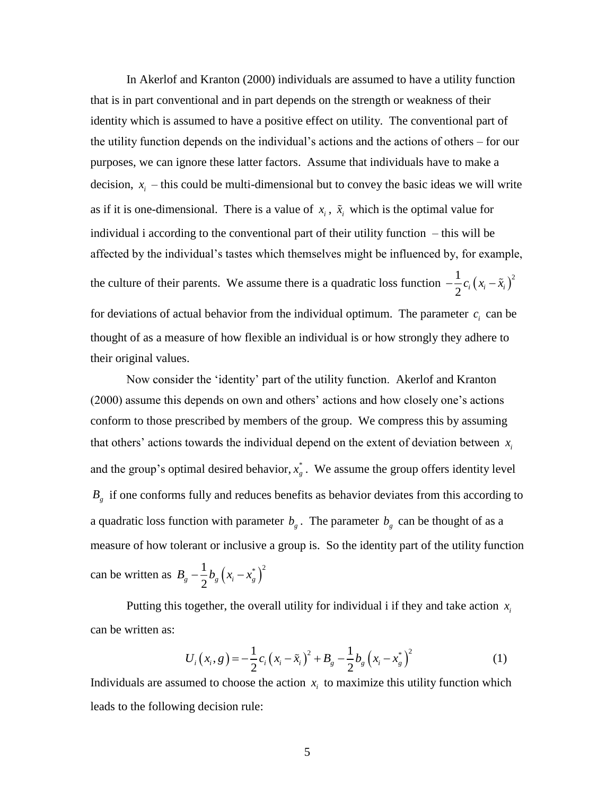In Akerlof and Kranton (2000) individuals are assumed to have a utility function that is in part conventional and in part depends on the strength or weakness of their identity which is assumed to have a positive effect on utility. The conventional part of the utility function depends on the individual's actions and the actions of others – for our purposes, we can ignore these latter factors. Assume that individuals have to make a decision,  $x_i$  – this could be multi-dimensional but to convey the basic ideas we will write as if it is one-dimensional. There is a value of  $x_i$ ,  $\tilde{x}_i$  which is the optimal value for individual i according to the conventional part of their utility function – this will be affected by the individual's tastes which themselves might be influenced by, for example, the culture of their parents. We assume there is a quadratic loss function  $-\frac{1}{2}c_i(x_i - \tilde{x}_i)$  $1 \t (1 + \t 2)$  $-\frac{1}{2}c_i\left(x_i-\tilde{x}_i\right)$ for deviations of actual behavior from the individual optimum. The parameter  $c_i$  can be thought of as a measure of how flexible an individual is or how strongly they adhere to their original values.

Now consider the 'identity' part of the utility function. Akerlof and Kranton (2000) assume this depends on own and others' actions and how closely one's actions conform to those prescribed by members of the group. We compress this by assuming that others' actions towards the individual depend on the extent of deviation between  $x_i$ and the group's optimal desired behavior,  $x^*$  $x_s^*$ . We assume the group offers identity level  $B<sub>g</sub>$  if one conforms fully and reduces benefits as behavior deviates from this according to a quadratic loss function with parameter  $b<sub>g</sub>$ . The parameter  $b<sub>g</sub>$  can be thought of as a measure of how tolerant or inclusive a group is. So the identity part of the utility function can be written as  $B_g - \frac{1}{2} b_g (x_i - x_g^*)^2$  $B_{g} - \frac{1}{2} b_{g} \left( x_{i} - x_{g}^{*} \right)$ 

Putting this together, the overall utility for individual i if they and take action  $x_i$ can be written as:

$$
U_i(x_i, g) = -\frac{1}{2}c_i(x_i - \tilde{x}_i)^2 + B_g - \frac{1}{2}b_g(x_i - x_g^*)^2
$$
 (1)

Individuals are assumed to choose the action  $x_i$  to maximize this utility function which leads to the following decision rule: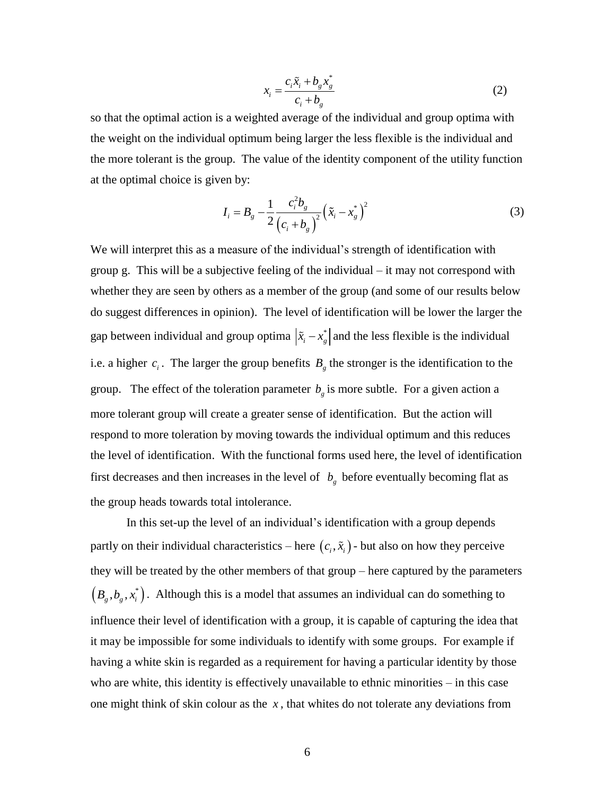$$
x_i = \frac{c_i \tilde{x}_i + b_g x_g^*}{c_i + b_g} \tag{2}
$$

so that the optimal action is a weighted average of the individual and group optima with the weight on the individual optimum being larger the less flexible is the individual and the more tolerant is the group. The value of the identity component of the utility function at the optimal choice is given by:

$$
I_{i} = B_{g} - \frac{1}{2} \frac{c_{i}^{2} b_{g}}{(c_{i} + b_{g})^{2}} (\tilde{x}_{i} - x_{g}^{*})^{2}
$$
 (3)

We will interpret this as a measure of the individual's strength of identification with group g. This will be a subjective feeling of the individual – it may not correspond with whether they are seen by others as a member of the group (and some of our results below do suggest differences in opinion). The level of identification will be lower the larger the gap between individual and group optima  $|\tilde{x}_i - x_{\tilde{g}}|$  and the less flexible is the individual i.e. a higher  $c_i$ . The larger the group benefits  $B<sub>g</sub>$  the stronger is the identification to the group. The effect of the toleration parameter  $b<sub>g</sub>$  is more subtle. For a given action a more tolerant group will create a greater sense of identification. But the action will respond to more toleration by moving towards the individual optimum and this reduces the level of identification. With the functional forms used here, the level of identification first decreases and then increases in the level of  $b<sub>g</sub>$  before eventually becoming flat as the group heads towards total intolerance.

In this set-up the level of an individual's identification with a group depends partly on their individual characteristics – here  $(c_i, \tilde{x}_i)$  - but also on how they perceive they will be treated by the other members of that group – here captured by the parameters  $(B<sub>g</sub>, b<sub>g</sub>, x<sub>i</sub><sup>*</sup>)$ . Although this is a model that assumes an individual can do something to influence their level of identification with a group, it is capable of capturing the idea that it may be impossible for some individuals to identify with some groups. For example if having a white skin is regarded as a requirement for having a particular identity by those who are white, this identity is effectively unavailable to ethnic minorities – in this case one might think of skin colour as the  $x$ , that whites do not tolerate any deviations from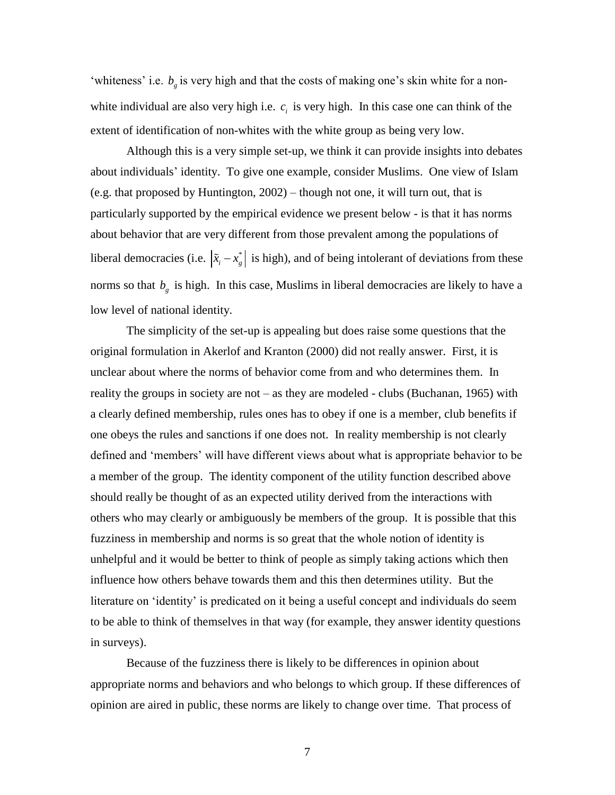'whiteness' i.e.  $b<sub>g</sub>$  is very high and that the costs of making one's skin white for a nonwhite individual are also very high i.e.  $c_i$  is very high. In this case one can think of the extent of identification of non-whites with the white group as being very low.

Although this is a very simple set-up, we think it can provide insights into debates about individuals' identity. To give one example, consider Muslims. One view of Islam (e.g. that proposed by Huntington, 2002) – though not one, it will turn out, that is particularly supported by the empirical evidence we present below - is that it has norms about behavior that are very different from those prevalent among the populations of liberal democracies (i.e.  $|\tilde{x}_i - x_s^*|$  is high), and of being intolerant of deviations from these norms so that  $b<sub>g</sub>$  is high. In this case, Muslims in liberal democracies are likely to have a low level of national identity.

The simplicity of the set-up is appealing but does raise some questions that the original formulation in Akerlof and Kranton (2000) did not really answer. First, it is unclear about where the norms of behavior come from and who determines them. In reality the groups in society are not – as they are modeled - clubs (Buchanan, 1965) with a clearly defined membership, rules ones has to obey if one is a member, club benefits if one obeys the rules and sanctions if one does not. In reality membership is not clearly defined and 'members' will have different views about what is appropriate behavior to be a member of the group. The identity component of the utility function described above should really be thought of as an expected utility derived from the interactions with others who may clearly or ambiguously be members of the group. It is possible that this fuzziness in membership and norms is so great that the whole notion of identity is unhelpful and it would be better to think of people as simply taking actions which then influence how others behave towards them and this then determines utility. But the literature on 'identity' is predicated on it being a useful concept and individuals do seem to be able to think of themselves in that way (for example, they answer identity questions in surveys).

Because of the fuzziness there is likely to be differences in opinion about appropriate norms and behaviors and who belongs to which group. If these differences of opinion are aired in public, these norms are likely to change over time. That process of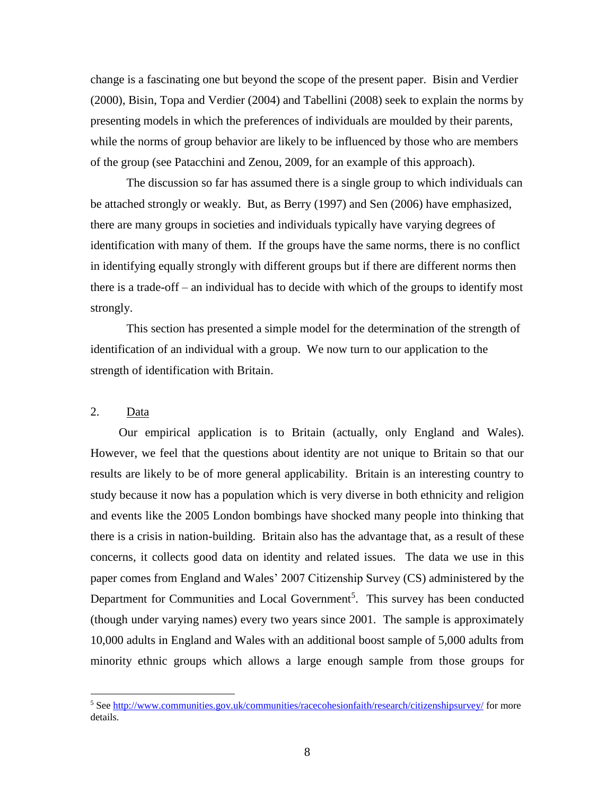change is a fascinating one but beyond the scope of the present paper. Bisin and Verdier (2000), Bisin, Topa and Verdier (2004) and Tabellini (2008) seek to explain the norms by presenting models in which the preferences of individuals are moulded by their parents, while the norms of group behavior are likely to be influenced by those who are members of the group (see Patacchini and Zenou, 2009, for an example of this approach).

The discussion so far has assumed there is a single group to which individuals can be attached strongly or weakly. But, as Berry (1997) and Sen (2006) have emphasized, there are many groups in societies and individuals typically have varying degrees of identification with many of them. If the groups have the same norms, there is no conflict in identifying equally strongly with different groups but if there are different norms then there is a trade-off – an individual has to decide with which of the groups to identify most strongly.

This section has presented a simple model for the determination of the strength of identification of an individual with a group. We now turn to our application to the strength of identification with Britain.

#### 2. Data

 $\overline{a}$ 

Our empirical application is to Britain (actually, only England and Wales). However, we feel that the questions about identity are not unique to Britain so that our results are likely to be of more general applicability. Britain is an interesting country to study because it now has a population which is very diverse in both ethnicity and religion and events like the 2005 London bombings have shocked many people into thinking that there is a crisis in nation-building. Britain also has the advantage that, as a result of these concerns, it collects good data on identity and related issues. The data we use in this paper comes from England and Wales' 2007 Citizenship Survey (CS) administered by the Department for Communities and Local Government<sup>5</sup>. This survey has been conducted (though under varying names) every two years since 2001. The sample is approximately 10,000 adults in England and Wales with an additional boost sample of 5,000 adults from minority ethnic groups which allows a large enough sample from those groups for

<sup>&</sup>lt;sup>5</sup> Se[e http://www.communities.gov.uk/communities/racecohesionfaith/research/citizenshipsurvey/](http://www.communities.gov.uk/communities/racecohesionfaith/research/citizenshipsurvey/) for more details.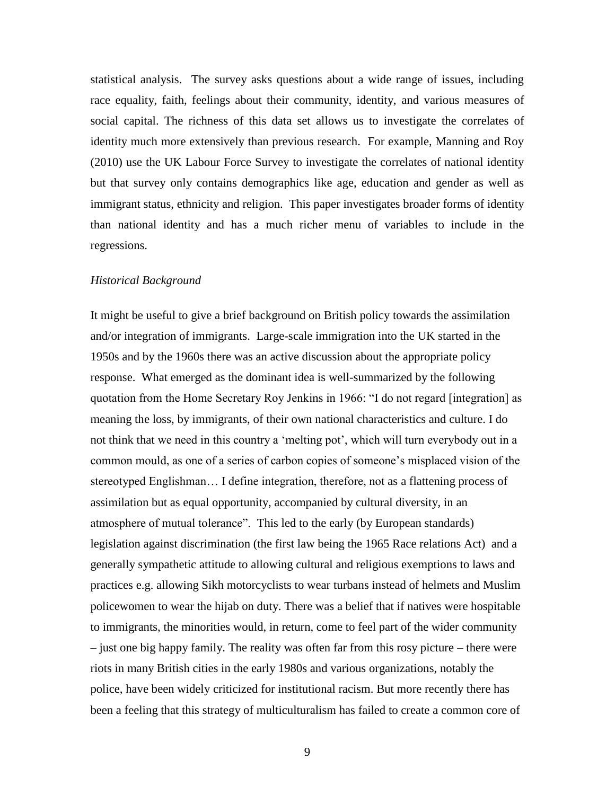statistical analysis. The survey asks questions about a wide range of issues, including race equality, faith, feelings about their community, identity, and various measures of social capital. The richness of this data set allows us to investigate the correlates of identity much more extensively than previous research. For example, Manning and Roy (2010) use the UK Labour Force Survey to investigate the correlates of national identity but that survey only contains demographics like age, education and gender as well as immigrant status, ethnicity and religion. This paper investigates broader forms of identity than national identity and has a much richer menu of variables to include in the regressions.

#### *Historical Background*

It might be useful to give a brief background on British policy towards the assimilation and/or integration of immigrants. Large-scale immigration into the UK started in the 1950s and by the 1960s there was an active discussion about the appropriate policy response. What emerged as the dominant idea is well-summarized by the following quotation from the Home Secretary Roy Jenkins in 1966: "I do not regard [integration] as meaning the loss, by immigrants, of their own national characteristics and culture. I do not think that we need in this country a 'melting pot', which will turn everybody out in a common mould, as one of a series of carbon copies of someone's misplaced vision of the stereotyped Englishman… I define integration, therefore, not as a flattening process of assimilation but as equal opportunity, accompanied by cultural diversity, in an atmosphere of mutual tolerance". This led to the early (by European standards) legislation against discrimination (the first law being the 1965 Race relations Act) and a generally sympathetic attitude to allowing cultural and religious exemptions to laws and practices e.g. allowing Sikh motorcyclists to wear turbans instead of helmets and Muslim policewomen to wear the hijab on duty. There was a belief that if natives were hospitable to immigrants, the minorities would, in return, come to feel part of the wider community – just one big happy family. The reality was often far from this rosy picture – there were riots in many British cities in the early 1980s and various organizations, notably the police, have been widely criticized for institutional racism. But more recently there has been a feeling that this strategy of multiculturalism has failed to create a common core of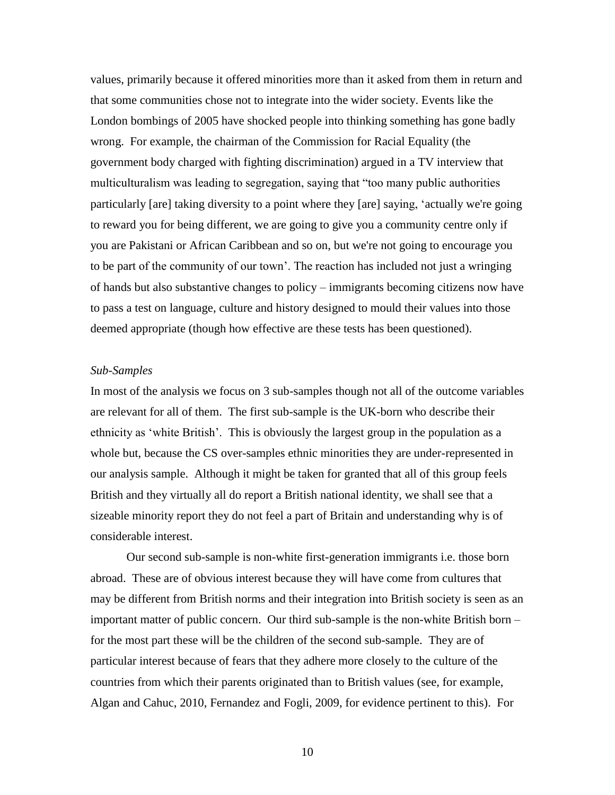values, primarily because it offered minorities more than it asked from them in return and that some communities chose not to integrate into the wider society. Events like the London bombings of 2005 have shocked people into thinking something has gone badly wrong. For example, the chairman of the Commission for Racial Equality (the government body charged with fighting discrimination) argued in a TV interview that multiculturalism was leading to segregation, saying that "too many public authorities particularly [are] taking diversity to a point where they [are] saying, 'actually we're going to reward you for being different, we are going to give you a community centre only if you are Pakistani or African Caribbean and so on, but we're not going to encourage you to be part of the community of our town'. The reaction has included not just a wringing of hands but also substantive changes to policy – immigrants becoming citizens now have to pass a test on language, culture and history designed to mould their values into those deemed appropriate (though how effective are these tests has been questioned).

#### *Sub-Samples*

In most of the analysis we focus on 3 sub-samples though not all of the outcome variables are relevant for all of them. The first sub-sample is the UK-born who describe their ethnicity as 'white British'. This is obviously the largest group in the population as a whole but, because the CS over-samples ethnic minorities they are under-represented in our analysis sample. Although it might be taken for granted that all of this group feels British and they virtually all do report a British national identity, we shall see that a sizeable minority report they do not feel a part of Britain and understanding why is of considerable interest.

Our second sub-sample is non-white first-generation immigrants i.e. those born abroad. These are of obvious interest because they will have come from cultures that may be different from British norms and their integration into British society is seen as an important matter of public concern. Our third sub-sample is the non-white British born – for the most part these will be the children of the second sub-sample. They are of particular interest because of fears that they adhere more closely to the culture of the countries from which their parents originated than to British values (see, for example, Algan and Cahuc, 2010, Fernandez and Fogli, 2009, for evidence pertinent to this). For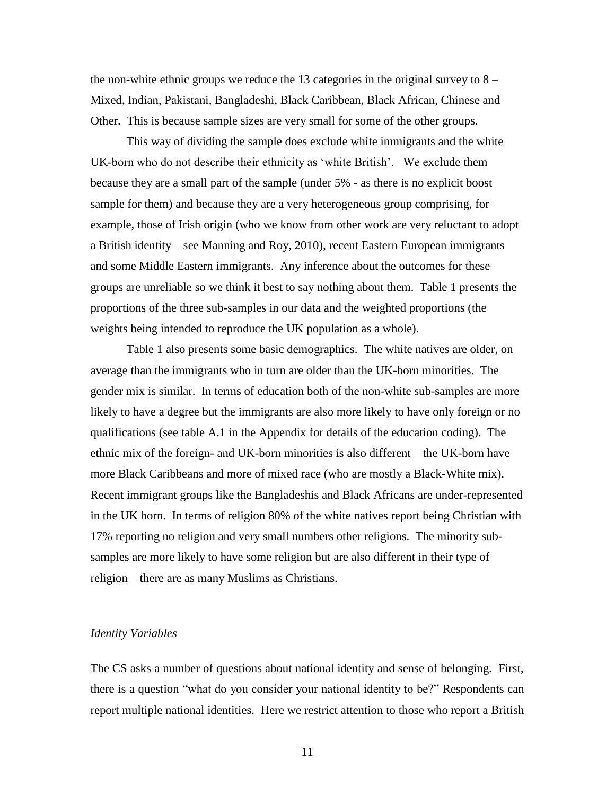the non-white ethnic groups we reduce the 13 categories in the original survey to  $8 -$ Mixed, Indian, Pakistani, Bangladeshi, Black Caribbean, Black African, Chinese and Other. This is because sample sizes are very small for some of the other groups.

This way of dividing the sample does exclude white immigrants and the white UK-born who do not describe their ethnicity as 'white British'. We exclude them because they are a small part of the sample (under 5% - as there is no explicit boost sample for them) and because they are a very heterogeneous group comprising, for example, those of Irish origin (who we know from other work are very reluctant to adopt a British identity – see Manning and Roy, 2010), recent Eastern European immigrants and some Middle Eastern immigrants. Any inference about the outcomes for these groups are unreliable so we think it best to say nothing about them. Table 1 presents the proportions of the three sub-samples in our data and the weighted proportions (the weights being intended to reproduce the UK population as a whole).

Table 1 also presents some basic demographics. The white natives are older, on average than the immigrants who in turn are older than the UK-born minorities. The gender mix is similar. In terms of education both of the non-white sub-samples are more likely to have a degree but the immigrants are also more likely to have only foreign or no qualifications (see table A.1 in the Appendix for details of the education coding). The ethnic mix of the foreign- and UK-born minorities is also different – the UK-born have more Black Caribbeans and more of mixed race (who are mostly a Black-White mix). Recent immigrant groups like the Bangladeshis and Black Africans are under-represented in the UK born. In terms of religion 80% of the white natives report being Christian with 17% reporting no religion and very small numbers other religions. The minority subsamples are more likely to have some religion but are also different in their type of religion – there are as many Muslims as Christians.

#### *Identity Variables*

The CS asks a number of questions about national identity and sense of belonging. First, there is a question "what do you consider your national identity to be?" Respondents can report multiple national identities. Here we restrict attention to those who report a British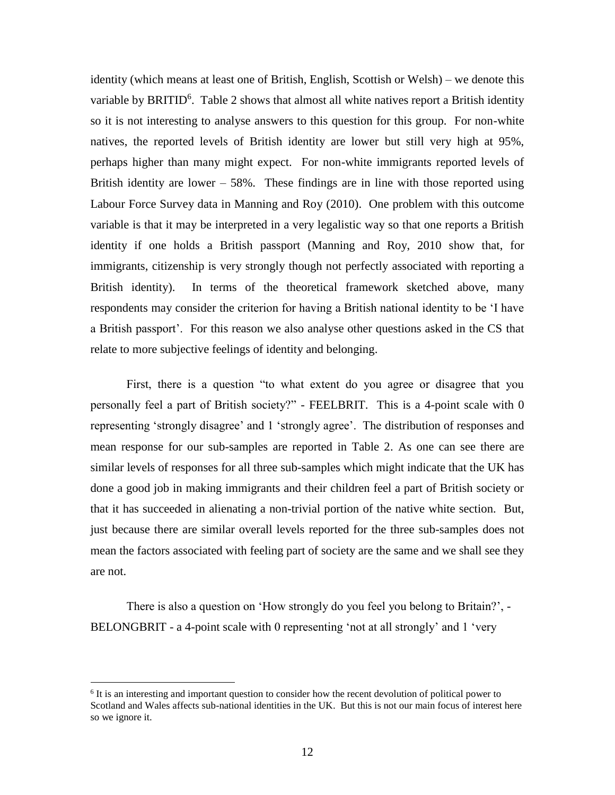identity (which means at least one of British, English, Scottish or Welsh) – we denote this variable by BRITID<sup>6</sup>. Table 2 shows that almost all white natives report a British identity so it is not interesting to analyse answers to this question for this group. For non-white natives, the reported levels of British identity are lower but still very high at 95%, perhaps higher than many might expect. For non-white immigrants reported levels of British identity are lower  $-58\%$ . These findings are in line with those reported using Labour Force Survey data in Manning and Roy (2010). One problem with this outcome variable is that it may be interpreted in a very legalistic way so that one reports a British identity if one holds a British passport (Manning and Roy, 2010 show that, for immigrants, citizenship is very strongly though not perfectly associated with reporting a British identity). In terms of the theoretical framework sketched above, many respondents may consider the criterion for having a British national identity to be 'I have a British passport'. For this reason we also analyse other questions asked in the CS that relate to more subjective feelings of identity and belonging.

First, there is a question "to what extent do you agree or disagree that you personally feel a part of British society?" - FEELBRIT. This is a 4-point scale with 0 representing 'strongly disagree' and 1 'strongly agree'. The distribution of responses and mean response for our sub-samples are reported in Table 2. As one can see there are similar levels of responses for all three sub-samples which might indicate that the UK has done a good job in making immigrants and their children feel a part of British society or that it has succeeded in alienating a non-trivial portion of the native white section. But, just because there are similar overall levels reported for the three sub-samples does not mean the factors associated with feeling part of society are the same and we shall see they are not.

There is also a question on 'How strongly do you feel you belong to Britain?', - BELONGBRIT - a 4-point scale with 0 representing 'not at all strongly' and 1 'very

 $\overline{a}$ 

<sup>&</sup>lt;sup>6</sup> It is an interesting and important question to consider how the recent devolution of political power to Scotland and Wales affects sub-national identities in the UK. But this is not our main focus of interest here so we ignore it.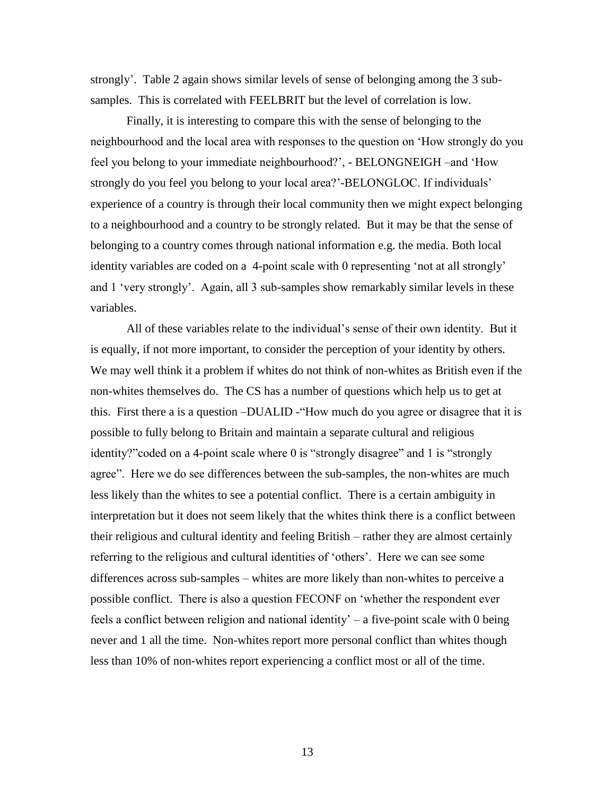strongly'. Table 2 again shows similar levels of sense of belonging among the 3 subsamples. This is correlated with FEELBRIT but the level of correlation is low.

Finally, it is interesting to compare this with the sense of belonging to the neighbourhood and the local area with responses to the question on 'How strongly do you feel you belong to your immediate neighbourhood?', - BELONGNEIGH –and 'How strongly do you feel you belong to your local area?'-BELONGLOC. If individuals' experience of a country is through their local community then we might expect belonging to a neighbourhood and a country to be strongly related. But it may be that the sense of belonging to a country comes through national information e.g. the media. Both local identity variables are coded on a 4-point scale with 0 representing 'not at all strongly' and 1 'very strongly'. Again, all 3 sub-samples show remarkably similar levels in these variables.

All of these variables relate to the individual's sense of their own identity. But it is equally, if not more important, to consider the perception of your identity by others. We may well think it a problem if whites do not think of non-whites as British even if the non-whites themselves do. The CS has a number of questions which help us to get at this. First there a is a question –DUALID -"How much do you agree or disagree that it is possible to fully belong to Britain and maintain a separate cultural and religious identity?"coded on a 4-point scale where 0 is "strongly disagree" and 1 is "strongly agree". Here we do see differences between the sub-samples, the non-whites are much less likely than the whites to see a potential conflict. There is a certain ambiguity in interpretation but it does not seem likely that the whites think there is a conflict between their religious and cultural identity and feeling British – rather they are almost certainly referring to the religious and cultural identities of 'others'. Here we can see some differences across sub-samples – whites are more likely than non-whites to perceive a possible conflict. There is also a question FECONF on 'whether the respondent ever feels a conflict between religion and national identity' – a five-point scale with 0 being never and 1 all the time. Non-whites report more personal conflict than whites though less than 10% of non-whites report experiencing a conflict most or all of the time.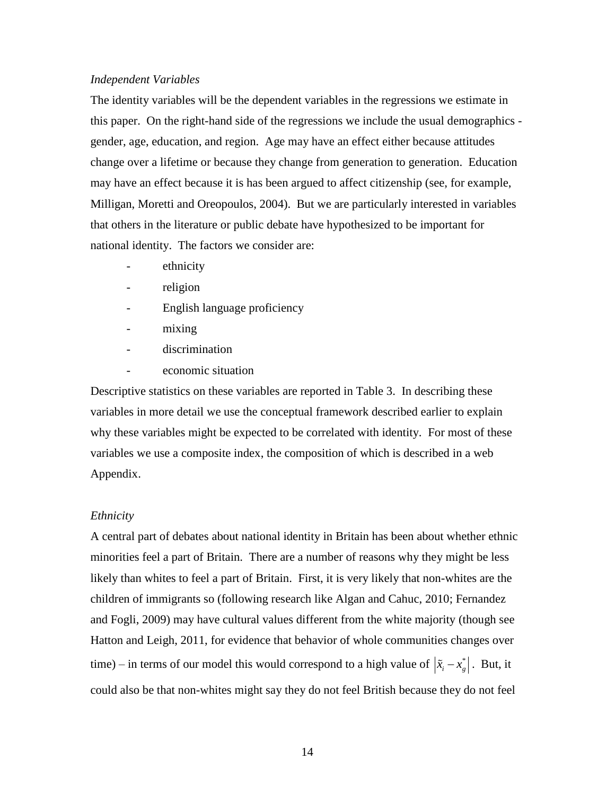#### *Independent Variables*

The identity variables will be the dependent variables in the regressions we estimate in this paper. On the right-hand side of the regressions we include the usual demographics gender, age, education, and region. Age may have an effect either because attitudes change over a lifetime or because they change from generation to generation. Education may have an effect because it is has been argued to affect citizenship (see, for example, Milligan, Moretti and Oreopoulos, 2004). But we are particularly interested in variables that others in the literature or public debate have hypothesized to be important for national identity. The factors we consider are:

- ethnicity
- religion
- English language proficiency
- mixing
- discrimination
- economic situation

Descriptive statistics on these variables are reported in Table 3. In describing these variables in more detail we use the conceptual framework described earlier to explain why these variables might be expected to be correlated with identity. For most of these variables we use a composite index, the composition of which is described in a web Appendix.

#### *Ethnicity*

A central part of debates about national identity in Britain has been about whether ethnic minorities feel a part of Britain. There are a number of reasons why they might be less likely than whites to feel a part of Britain. First, it is very likely that non-whites are the children of immigrants so (following research like Algan and Cahuc, 2010; Fernandez and Fogli, 2009) may have cultural values different from the white majority (though see Hatton and Leigh, 2011, for evidence that behavior of whole communities changes over time) – in terms of our model this would correspond to a high value of  $|\tilde{x}_i - x_s^*|$ . But, it could also be that non-whites might say they do not feel British because they do not feel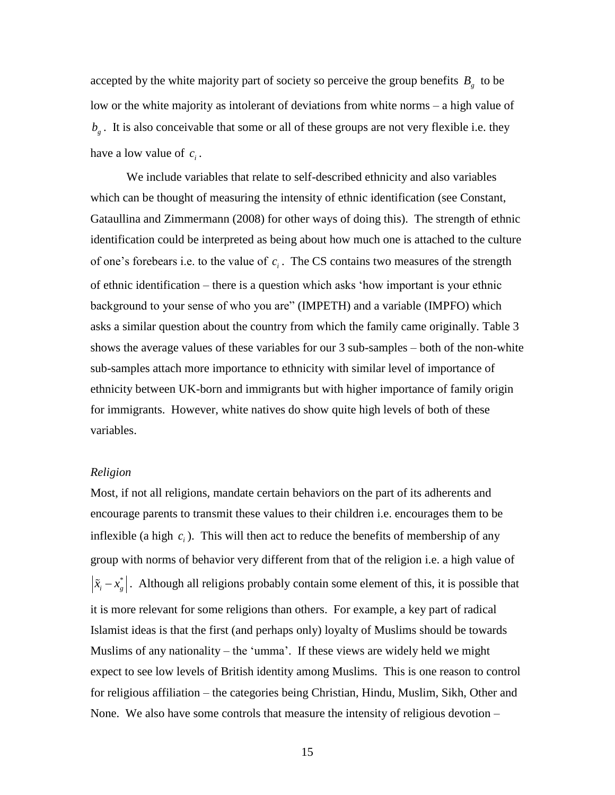accepted by the white majority part of society so perceive the group benefits  $B<sub>g</sub>$  to be low or the white majority as intolerant of deviations from white norms – a high value of  $b<sub>g</sub>$ . It is also conceivable that some or all of these groups are not very flexible i.e. they have a low value of  $c_i$ .

We include variables that relate to self-described ethnicity and also variables which can be thought of measuring the intensity of ethnic identification (see Constant, Gataullina and Zimmermann (2008) for other ways of doing this). The strength of ethnic identification could be interpreted as being about how much one is attached to the culture of one's forebears i.e. to the value of  $c_i$ . The CS contains two measures of the strength of ethnic identification – there is a question which asks 'how important is your ethnic background to your sense of who you are" (IMPETH) and a variable (IMPFO) which asks a similar question about the country from which the family came originally. Table 3 shows the average values of these variables for our 3 sub-samples – both of the non-white sub-samples attach more importance to ethnicity with similar level of importance of ethnicity between UK-born and immigrants but with higher importance of family origin for immigrants. However, white natives do show quite high levels of both of these variables.

#### *Religion*

Most, if not all religions, mandate certain behaviors on the part of its adherents and encourage parents to transmit these values to their children i.e. encourages them to be inflexible (a high  $c_i$ ). This will then act to reduce the benefits of membership of any group with norms of behavior very different from that of the religion i.e. a high value of  $\left[\tilde{x}_i - x_s^*\right]$ . Although all religions probably contain some element of this, it is possible that it is more relevant for some religions than others. For example, a key part of radical Islamist ideas is that the first (and perhaps only) loyalty of Muslims should be towards Muslims of any nationality – the 'umma'. If these views are widely held we might expect to see low levels of British identity among Muslims. This is one reason to control for religious affiliation – the categories being Christian, Hindu, Muslim, Sikh, Other and None. We also have some controls that measure the intensity of religious devotion –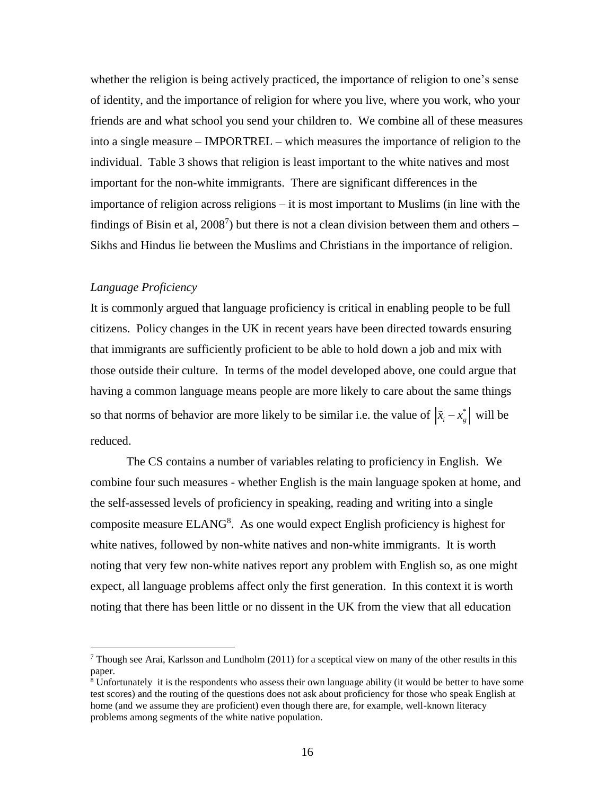whether the religion is being actively practiced, the importance of religion to one's sense of identity, and the importance of religion for where you live, where you work, who your friends are and what school you send your children to. We combine all of these measures into a single measure – IMPORTREL – which measures the importance of religion to the individual. Table 3 shows that religion is least important to the white natives and most important for the non-white immigrants. There are significant differences in the importance of religion across religions – it is most important to Muslims (in line with the findings of Bisin et al,  $2008<sup>7</sup>$ ) but there is not a clean division between them and others – Sikhs and Hindus lie between the Muslims and Christians in the importance of religion.

#### *Language Proficiency*

 $\overline{a}$ 

It is commonly argued that language proficiency is critical in enabling people to be full citizens. Policy changes in the UK in recent years have been directed towards ensuring that immigrants are sufficiently proficient to be able to hold down a job and mix with those outside their culture. In terms of the model developed above, one could argue that having a common language means people are more likely to care about the same things so that norms of behavior are more likely to be similar i.e. the value of  $|\tilde{x}_i - x_s^*|$  will be reduced.

The CS contains a number of variables relating to proficiency in English. We combine four such measures - whether English is the main language spoken at home, and the self-assessed levels of proficiency in speaking, reading and writing into a single composite measure  $ELANG<sup>8</sup>$ . As one would expect English proficiency is highest for white natives, followed by non-white natives and non-white immigrants. It is worth noting that very few non-white natives report any problem with English so, as one might expect, all language problems affect only the first generation. In this context it is worth noting that there has been little or no dissent in the UK from the view that all education

<sup>&</sup>lt;sup>7</sup> Though see Arai, Karlsson and Lundholm (2011) for a sceptical view on many of the other results in this paper.

<sup>&</sup>lt;sup>8</sup> Unfortunately it is the respondents who assess their own language ability (it would be better to have some test scores) and the routing of the questions does not ask about proficiency for those who speak English at home (and we assume they are proficient) even though there are, for example, well-known literacy problems among segments of the white native population.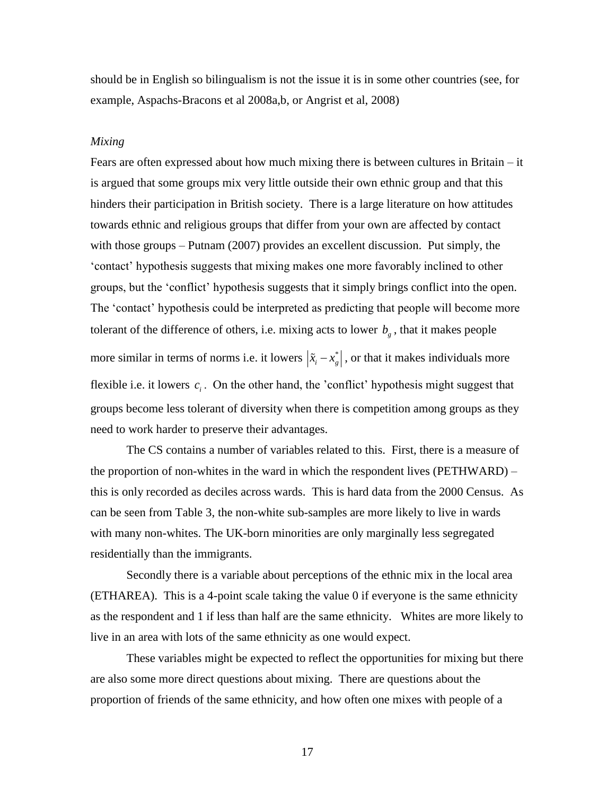should be in English so bilingualism is not the issue it is in some other countries (see, for example, Aspachs-Bracons et al 2008a,b, or Angrist et al, 2008)

#### *Mixing*

Fears are often expressed about how much mixing there is between cultures in Britain – it is argued that some groups mix very little outside their own ethnic group and that this hinders their participation in British society. There is a large literature on how attitudes towards ethnic and religious groups that differ from your own are affected by contact with those groups – Putnam (2007) provides an excellent discussion. Put simply, the 'contact' hypothesis suggests that mixing makes one more favorably inclined to other groups, but the 'conflict' hypothesis suggests that it simply brings conflict into the open. The 'contact' hypothesis could be interpreted as predicting that people will become more tolerant of the difference of others, i.e. mixing acts to lower  $b<sub>g</sub>$ , that it makes people more similar in terms of norms i.e. it lowers  $|\tilde{x}_i - x_s^*|$ , or that it makes individuals more flexible i.e. it lowers  $c_i$ . On the other hand, the 'conflict' hypothesis might suggest that groups become less tolerant of diversity when there is competition among groups as they need to work harder to preserve their advantages.

The CS contains a number of variables related to this. First, there is a measure of the proportion of non-whites in the ward in which the respondent lives (PETHWARD) – this is only recorded as deciles across wards. This is hard data from the 2000 Census. As can be seen from Table 3, the non-white sub-samples are more likely to live in wards with many non-whites. The UK-born minorities are only marginally less segregated residentially than the immigrants.

Secondly there is a variable about perceptions of the ethnic mix in the local area (ETHAREA). This is a 4-point scale taking the value 0 if everyone is the same ethnicity as the respondent and 1 if less than half are the same ethnicity. Whites are more likely to live in an area with lots of the same ethnicity as one would expect.

These variables might be expected to reflect the opportunities for mixing but there are also some more direct questions about mixing. There are questions about the proportion of friends of the same ethnicity, and how often one mixes with people of a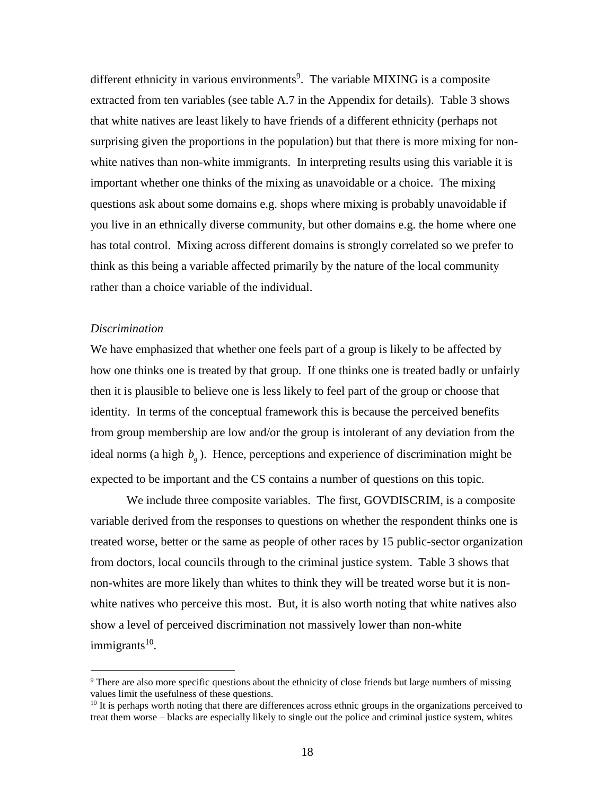different ethnicity in various environments<sup>9</sup>. The variable MIXING is a composite extracted from ten variables (see table A.7 in the Appendix for details). Table 3 shows that white natives are least likely to have friends of a different ethnicity (perhaps not surprising given the proportions in the population) but that there is more mixing for nonwhite natives than non-white immigrants. In interpreting results using this variable it is important whether one thinks of the mixing as unavoidable or a choice. The mixing questions ask about some domains e.g. shops where mixing is probably unavoidable if you live in an ethnically diverse community, but other domains e.g. the home where one has total control. Mixing across different domains is strongly correlated so we prefer to think as this being a variable affected primarily by the nature of the local community rather than a choice variable of the individual.

#### *Discrimination*

 $\overline{a}$ 

We have emphasized that whether one feels part of a group is likely to be affected by how one thinks one is treated by that group. If one thinks one is treated badly or unfairly then it is plausible to believe one is less likely to feel part of the group or choose that identity. In terms of the conceptual framework this is because the perceived benefits from group membership are low and/or the group is intolerant of any deviation from the ideal norms (a high  $b_g$ ). Hence, perceptions and experience of discrimination might be expected to be important and the CS contains a number of questions on this topic.

We include three composite variables. The first, GOVDISCRIM, is a composite variable derived from the responses to questions on whether the respondent thinks one is treated worse, better or the same as people of other races by 15 public-sector organization from doctors, local councils through to the criminal justice system. Table 3 shows that non-whites are more likely than whites to think they will be treated worse but it is nonwhite natives who perceive this most. But, it is also worth noting that white natives also show a level of perceived discrimination not massively lower than non-white immigrants<sup>10</sup>.

<sup>&</sup>lt;sup>9</sup> There are also more specific questions about the ethnicity of close friends but large numbers of missing values limit the usefulness of these questions.

<sup>&</sup>lt;sup>10</sup> It is perhaps worth noting that there are differences across ethnic groups in the organizations perceived to treat them worse – blacks are especially likely to single out the police and criminal justice system, whites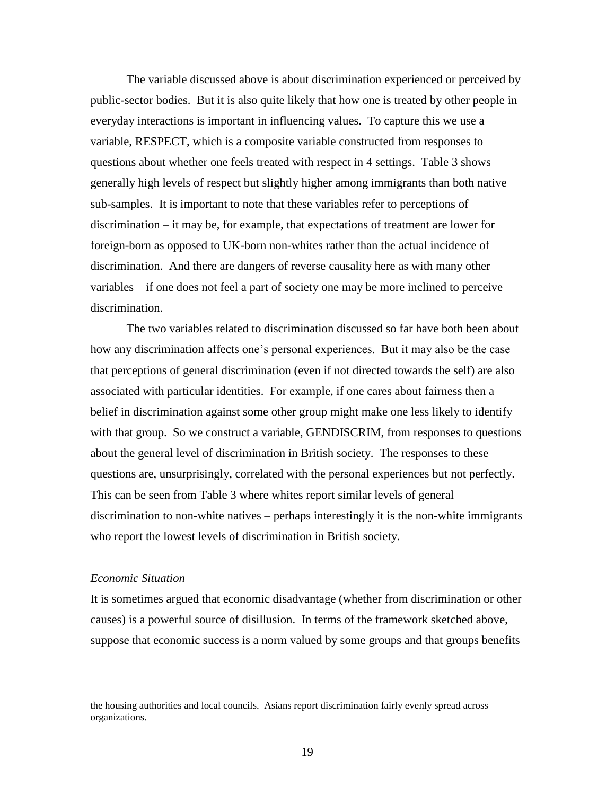The variable discussed above is about discrimination experienced or perceived by public-sector bodies. But it is also quite likely that how one is treated by other people in everyday interactions is important in influencing values. To capture this we use a variable, RESPECT, which is a composite variable constructed from responses to questions about whether one feels treated with respect in 4 settings. Table 3 shows generally high levels of respect but slightly higher among immigrants than both native sub-samples. It is important to note that these variables refer to perceptions of discrimination – it may be, for example, that expectations of treatment are lower for foreign-born as opposed to UK-born non-whites rather than the actual incidence of discrimination. And there are dangers of reverse causality here as with many other variables – if one does not feel a part of society one may be more inclined to perceive discrimination.

The two variables related to discrimination discussed so far have both been about how any discrimination affects one's personal experiences. But it may also be the case that perceptions of general discrimination (even if not directed towards the self) are also associated with particular identities. For example, if one cares about fairness then a belief in discrimination against some other group might make one less likely to identify with that group. So we construct a variable, GENDISCRIM, from responses to questions about the general level of discrimination in British society. The responses to these questions are, unsurprisingly, correlated with the personal experiences but not perfectly. This can be seen from Table 3 where whites report similar levels of general discrimination to non-white natives – perhaps interestingly it is the non-white immigrants who report the lowest levels of discrimination in British society.

#### *Economic Situation*

 $\overline{a}$ 

It is sometimes argued that economic disadvantage (whether from discrimination or other causes) is a powerful source of disillusion. In terms of the framework sketched above, suppose that economic success is a norm valued by some groups and that groups benefits

the housing authorities and local councils. Asians report discrimination fairly evenly spread across organizations.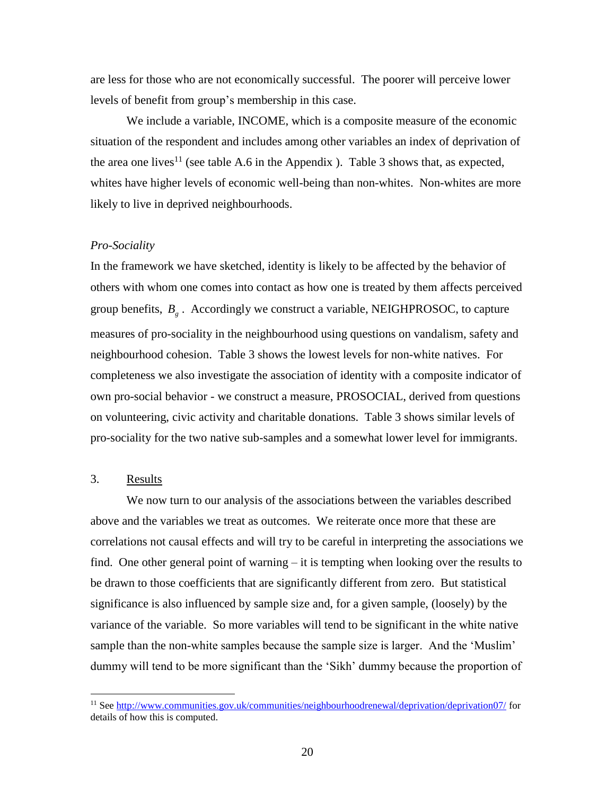are less for those who are not economically successful. The poorer will perceive lower levels of benefit from group's membership in this case.

We include a variable, INCOME, which is a composite measure of the economic situation of the respondent and includes among other variables an index of deprivation of the area one lives<sup>11</sup> (see table A.6 in the Appendix ). Table 3 shows that, as expected, whites have higher levels of economic well-being than non-whites. Non-whites are more likely to live in deprived neighbourhoods.

#### *Pro-Sociality*

In the framework we have sketched, identity is likely to be affected by the behavior of others with whom one comes into contact as how one is treated by them affects perceived group benefits, *B g* . Accordingly we construct a variable, NEIGHPROSOC, to capture measures of pro-sociality in the neighbourhood using questions on vandalism, safety and neighbourhood cohesion. Table 3 shows the lowest levels for non-white natives. For completeness we also investigate the association of identity with a composite indicator of own pro-social behavior - we construct a measure, PROSOCIAL, derived from questions on volunteering, civic activity and charitable donations. Table 3 shows similar levels of pro-sociality for the two native sub-samples and a somewhat lower level for immigrants.

#### 3. Results

 $\overline{a}$ 

We now turn to our analysis of the associations between the variables described above and the variables we treat as outcomes. We reiterate once more that these are correlations not causal effects and will try to be careful in interpreting the associations we find. One other general point of warning – it is tempting when looking over the results to be drawn to those coefficients that are significantly different from zero. But statistical significance is also influenced by sample size and, for a given sample, (loosely) by the variance of the variable. So more variables will tend to be significant in the white native sample than the non-white samples because the sample size is larger. And the 'Muslim' dummy will tend to be more significant than the 'Sikh' dummy because the proportion of

<sup>11</sup> See<http://www.communities.gov.uk/communities/neighbourhoodrenewal/deprivation/deprivation07/> for details of how this is computed.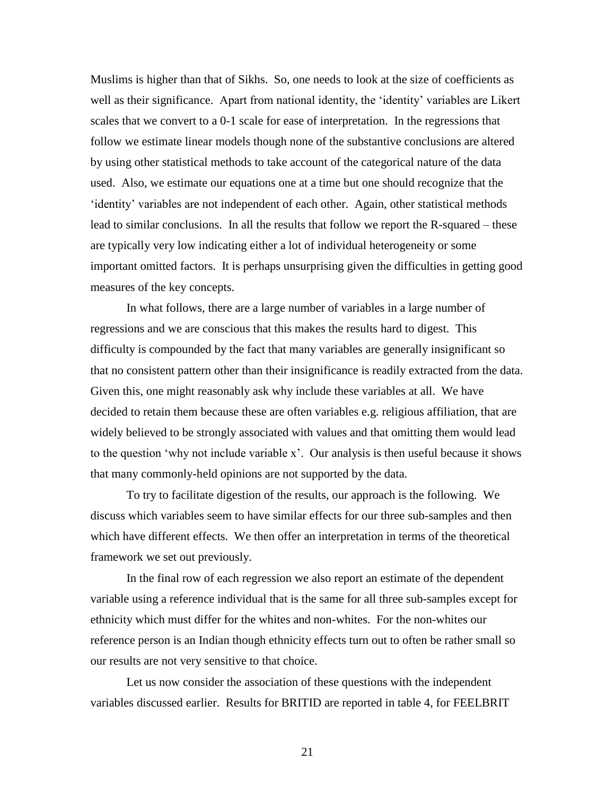Muslims is higher than that of Sikhs. So, one needs to look at the size of coefficients as well as their significance. Apart from national identity, the 'identity' variables are Likert scales that we convert to a 0-1 scale for ease of interpretation. In the regressions that follow we estimate linear models though none of the substantive conclusions are altered by using other statistical methods to take account of the categorical nature of the data used. Also, we estimate our equations one at a time but one should recognize that the 'identity' variables are not independent of each other. Again, other statistical methods lead to similar conclusions. In all the results that follow we report the R-squared – these are typically very low indicating either a lot of individual heterogeneity or some important omitted factors. It is perhaps unsurprising given the difficulties in getting good measures of the key concepts.

In what follows, there are a large number of variables in a large number of regressions and we are conscious that this makes the results hard to digest. This difficulty is compounded by the fact that many variables are generally insignificant so that no consistent pattern other than their insignificance is readily extracted from the data. Given this, one might reasonably ask why include these variables at all. We have decided to retain them because these are often variables e.g. religious affiliation, that are widely believed to be strongly associated with values and that omitting them would lead to the question 'why not include variable x'. Our analysis is then useful because it shows that many commonly-held opinions are not supported by the data.

To try to facilitate digestion of the results, our approach is the following. We discuss which variables seem to have similar effects for our three sub-samples and then which have different effects. We then offer an interpretation in terms of the theoretical framework we set out previously.

In the final row of each regression we also report an estimate of the dependent variable using a reference individual that is the same for all three sub-samples except for ethnicity which must differ for the whites and non-whites. For the non-whites our reference person is an Indian though ethnicity effects turn out to often be rather small so our results are not very sensitive to that choice.

Let us now consider the association of these questions with the independent variables discussed earlier. Results for BRITID are reported in table 4, for FEELBRIT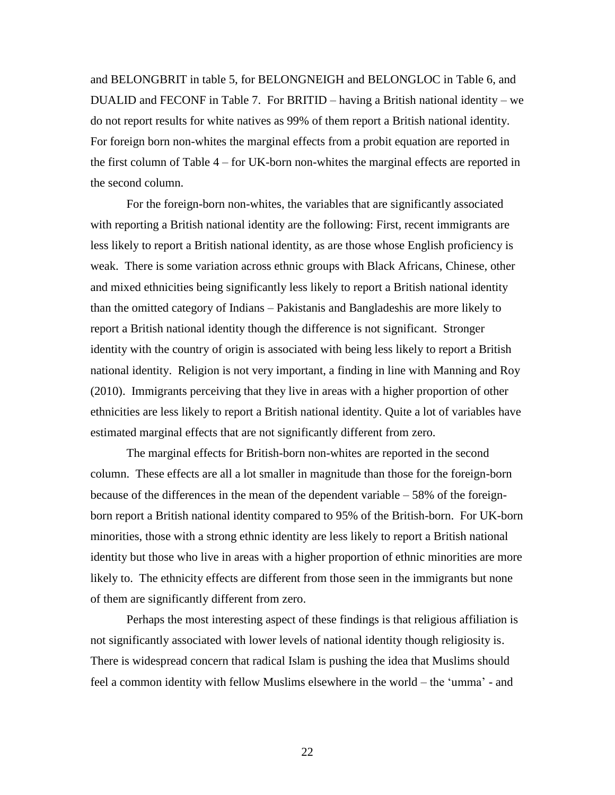and BELONGBRIT in table 5, for BELONGNEIGH and BELONGLOC in Table 6, and DUALID and FECONF in Table 7. For BRITID – having a British national identity – we do not report results for white natives as 99% of them report a British national identity. For foreign born non-whites the marginal effects from a probit equation are reported in the first column of Table 4 – for UK-born non-whites the marginal effects are reported in the second column.

For the foreign-born non-whites, the variables that are significantly associated with reporting a British national identity are the following: First, recent immigrants are less likely to report a British national identity, as are those whose English proficiency is weak. There is some variation across ethnic groups with Black Africans, Chinese, other and mixed ethnicities being significantly less likely to report a British national identity than the omitted category of Indians – Pakistanis and Bangladeshis are more likely to report a British national identity though the difference is not significant. Stronger identity with the country of origin is associated with being less likely to report a British national identity. Religion is not very important, a finding in line with Manning and Roy (2010). Immigrants perceiving that they live in areas with a higher proportion of other ethnicities are less likely to report a British national identity. Quite a lot of variables have estimated marginal effects that are not significantly different from zero.

The marginal effects for British-born non-whites are reported in the second column. These effects are all a lot smaller in magnitude than those for the foreign-born because of the differences in the mean of the dependent variable – 58% of the foreignborn report a British national identity compared to 95% of the British-born. For UK-born minorities, those with a strong ethnic identity are less likely to report a British national identity but those who live in areas with a higher proportion of ethnic minorities are more likely to. The ethnicity effects are different from those seen in the immigrants but none of them are significantly different from zero.

Perhaps the most interesting aspect of these findings is that religious affiliation is not significantly associated with lower levels of national identity though religiosity is. There is widespread concern that radical Islam is pushing the idea that Muslims should feel a common identity with fellow Muslims elsewhere in the world – the 'umma' - and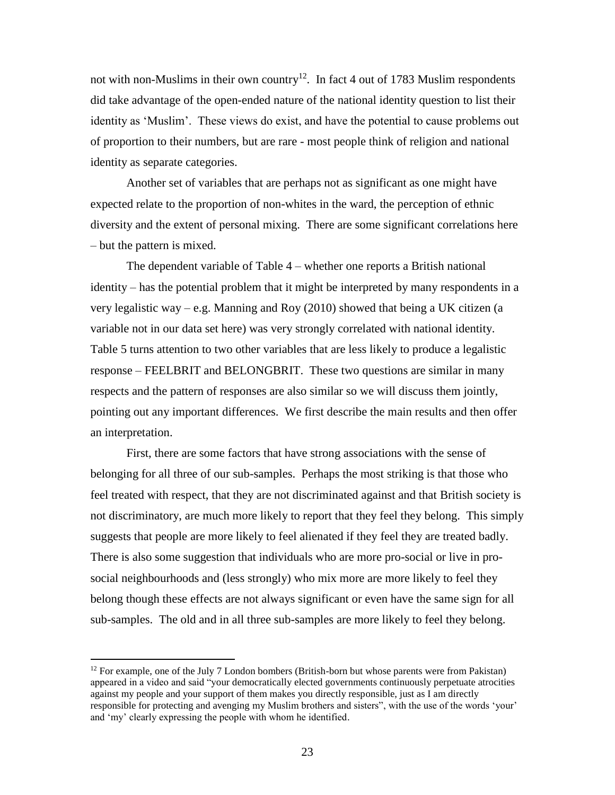not with non-Muslims in their own country<sup>12</sup>. In fact 4 out of 1783 Muslim respondents did take advantage of the open-ended nature of the national identity question to list their identity as 'Muslim'. These views do exist, and have the potential to cause problems out of proportion to their numbers, but are rare - most people think of religion and national identity as separate categories.

Another set of variables that are perhaps not as significant as one might have expected relate to the proportion of non-whites in the ward, the perception of ethnic diversity and the extent of personal mixing. There are some significant correlations here – but the pattern is mixed.

The dependent variable of Table 4 – whether one reports a British national identity – has the potential problem that it might be interpreted by many respondents in a very legalistic way – e.g. Manning and Roy  $(2010)$  showed that being a UK citizen (a variable not in our data set here) was very strongly correlated with national identity. Table 5 turns attention to two other variables that are less likely to produce a legalistic response – FEELBRIT and BELONGBRIT. These two questions are similar in many respects and the pattern of responses are also similar so we will discuss them jointly, pointing out any important differences. We first describe the main results and then offer an interpretation.

First, there are some factors that have strong associations with the sense of belonging for all three of our sub-samples. Perhaps the most striking is that those who feel treated with respect, that they are not discriminated against and that British society is not discriminatory, are much more likely to report that they feel they belong. This simply suggests that people are more likely to feel alienated if they feel they are treated badly. There is also some suggestion that individuals who are more pro-social or live in prosocial neighbourhoods and (less strongly) who mix more are more likely to feel they belong though these effects are not always significant or even have the same sign for all sub-samples. The old and in all three sub-samples are more likely to feel they belong.

 $\overline{a}$ 

 $12$  For example, one of the July 7 London bombers (British-born but whose parents were from Pakistan) appeared in a video and said "your democratically elected governments continuously perpetuate atrocities against my people and your support of them makes you directly responsible, just as I am directly responsible for protecting and avenging my Muslim brothers and sisters", with the use of the words 'your' and 'my' clearly expressing the people with whom he identified.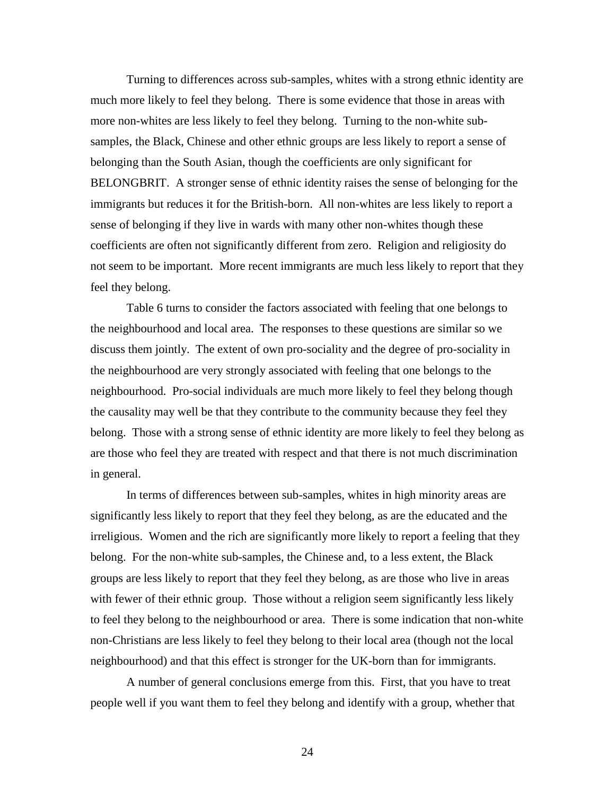Turning to differences across sub-samples, whites with a strong ethnic identity are much more likely to feel they belong. There is some evidence that those in areas with more non-whites are less likely to feel they belong. Turning to the non-white subsamples, the Black, Chinese and other ethnic groups are less likely to report a sense of belonging than the South Asian, though the coefficients are only significant for BELONGBRIT. A stronger sense of ethnic identity raises the sense of belonging for the immigrants but reduces it for the British-born. All non-whites are less likely to report a sense of belonging if they live in wards with many other non-whites though these coefficients are often not significantly different from zero. Religion and religiosity do not seem to be important. More recent immigrants are much less likely to report that they feel they belong.

Table 6 turns to consider the factors associated with feeling that one belongs to the neighbourhood and local area. The responses to these questions are similar so we discuss them jointly. The extent of own pro-sociality and the degree of pro-sociality in the neighbourhood are very strongly associated with feeling that one belongs to the neighbourhood. Pro-social individuals are much more likely to feel they belong though the causality may well be that they contribute to the community because they feel they belong. Those with a strong sense of ethnic identity are more likely to feel they belong as are those who feel they are treated with respect and that there is not much discrimination in general.

In terms of differences between sub-samples, whites in high minority areas are significantly less likely to report that they feel they belong, as are the educated and the irreligious. Women and the rich are significantly more likely to report a feeling that they belong. For the non-white sub-samples, the Chinese and, to a less extent, the Black groups are less likely to report that they feel they belong, as are those who live in areas with fewer of their ethnic group. Those without a religion seem significantly less likely to feel they belong to the neighbourhood or area. There is some indication that non-white non-Christians are less likely to feel they belong to their local area (though not the local neighbourhood) and that this effect is stronger for the UK-born than for immigrants.

A number of general conclusions emerge from this. First, that you have to treat people well if you want them to feel they belong and identify with a group, whether that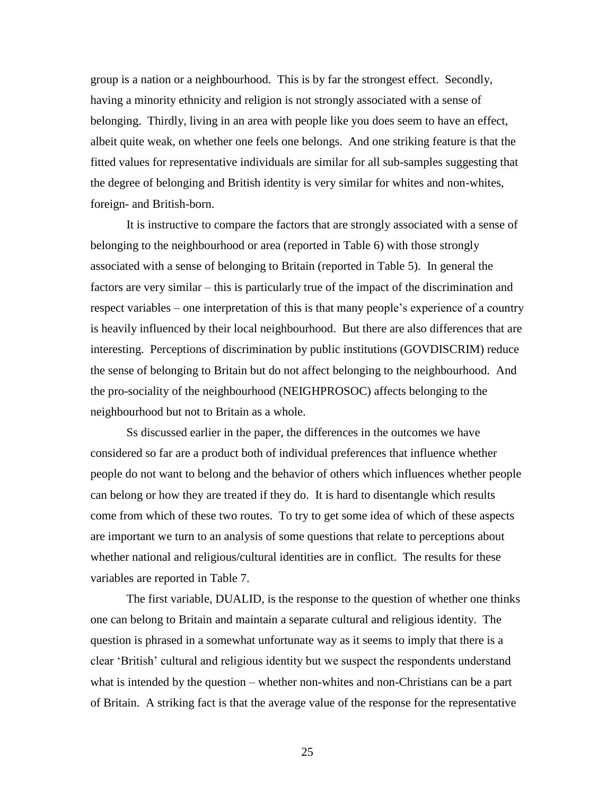group is a nation or a neighbourhood. This is by far the strongest effect. Secondly, having a minority ethnicity and religion is not strongly associated with a sense of belonging. Thirdly, living in an area with people like you does seem to have an effect, albeit quite weak, on whether one feels one belongs. And one striking feature is that the fitted values for representative individuals are similar for all sub-samples suggesting that the degree of belonging and British identity is very similar for whites and non-whites, foreign- and British-born.

It is instructive to compare the factors that are strongly associated with a sense of belonging to the neighbourhood or area (reported in Table 6) with those strongly associated with a sense of belonging to Britain (reported in Table 5). In general the factors are very similar – this is particularly true of the impact of the discrimination and respect variables – one interpretation of this is that many people's experience of a country is heavily influenced by their local neighbourhood. But there are also differences that are interesting. Perceptions of discrimination by public institutions (GOVDISCRIM) reduce the sense of belonging to Britain but do not affect belonging to the neighbourhood. And the pro-sociality of the neighbourhood (NEIGHPROSOC) affects belonging to the neighbourhood but not to Britain as a whole.

Ss discussed earlier in the paper, the differences in the outcomes we have considered so far are a product both of individual preferences that influence whether people do not want to belong and the behavior of others which influences whether people can belong or how they are treated if they do. It is hard to disentangle which results come from which of these two routes. To try to get some idea of which of these aspects are important we turn to an analysis of some questions that relate to perceptions about whether national and religious/cultural identities are in conflict. The results for these variables are reported in Table 7.

The first variable, DUALID, is the response to the question of whether one thinks one can belong to Britain and maintain a separate cultural and religious identity. The question is phrased in a somewhat unfortunate way as it seems to imply that there is a clear 'British' cultural and religious identity but we suspect the respondents understand what is intended by the question – whether non-whites and non-Christians can be a part of Britain. A striking fact is that the average value of the response for the representative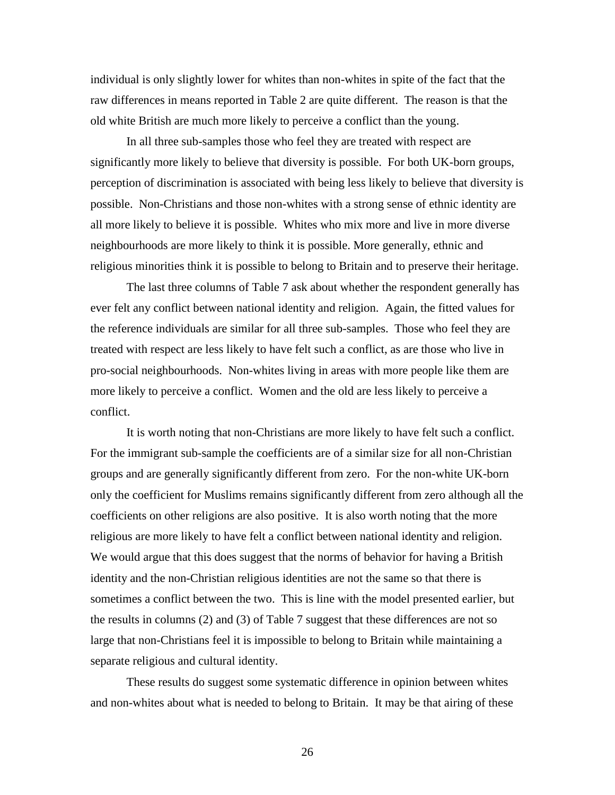individual is only slightly lower for whites than non-whites in spite of the fact that the raw differences in means reported in Table 2 are quite different. The reason is that the old white British are much more likely to perceive a conflict than the young.

In all three sub-samples those who feel they are treated with respect are significantly more likely to believe that diversity is possible. For both UK-born groups, perception of discrimination is associated with being less likely to believe that diversity is possible. Non-Christians and those non-whites with a strong sense of ethnic identity are all more likely to believe it is possible. Whites who mix more and live in more diverse neighbourhoods are more likely to think it is possible. More generally, ethnic and religious minorities think it is possible to belong to Britain and to preserve their heritage.

The last three columns of Table 7 ask about whether the respondent generally has ever felt any conflict between national identity and religion. Again, the fitted values for the reference individuals are similar for all three sub-samples. Those who feel they are treated with respect are less likely to have felt such a conflict, as are those who live in pro-social neighbourhoods. Non-whites living in areas with more people like them are more likely to perceive a conflict. Women and the old are less likely to perceive a conflict.

It is worth noting that non-Christians are more likely to have felt such a conflict. For the immigrant sub-sample the coefficients are of a similar size for all non-Christian groups and are generally significantly different from zero. For the non-white UK-born only the coefficient for Muslims remains significantly different from zero although all the coefficients on other religions are also positive. It is also worth noting that the more religious are more likely to have felt a conflict between national identity and religion. We would argue that this does suggest that the norms of behavior for having a British identity and the non-Christian religious identities are not the same so that there is sometimes a conflict between the two. This is line with the model presented earlier, but the results in columns (2) and (3) of Table 7 suggest that these differences are not so large that non-Christians feel it is impossible to belong to Britain while maintaining a separate religious and cultural identity.

These results do suggest some systematic difference in opinion between whites and non-whites about what is needed to belong to Britain. It may be that airing of these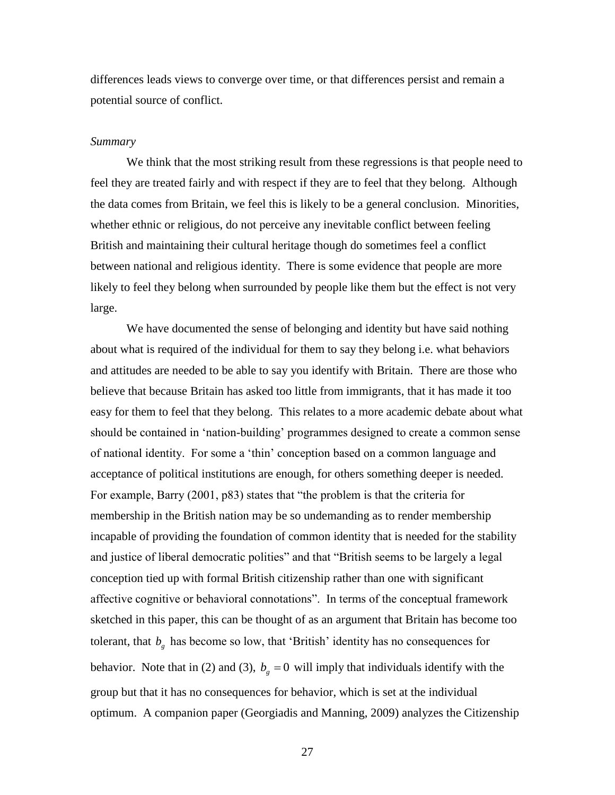differences leads views to converge over time, or that differences persist and remain a potential source of conflict.

#### *Summary*

We think that the most striking result from these regressions is that people need to feel they are treated fairly and with respect if they are to feel that they belong. Although the data comes from Britain, we feel this is likely to be a general conclusion. Minorities, whether ethnic or religious, do not perceive any inevitable conflict between feeling British and maintaining their cultural heritage though do sometimes feel a conflict between national and religious identity. There is some evidence that people are more likely to feel they belong when surrounded by people like them but the effect is not very large.

We have documented the sense of belonging and identity but have said nothing about what is required of the individual for them to say they belong i.e. what behaviors and attitudes are needed to be able to say you identify with Britain. There are those who believe that because Britain has asked too little from immigrants, that it has made it too easy for them to feel that they belong. This relates to a more academic debate about what should be contained in 'nation-building' programmes designed to create a common sense of national identity. For some a 'thin' conception based on a common language and acceptance of political institutions are enough, for others something deeper is needed. For example, Barry (2001, p83) states that "the problem is that the criteria for membership in the British nation may be so undemanding as to render membership incapable of providing the foundation of common identity that is needed for the stability and justice of liberal democratic polities" and that "British seems to be largely a legal conception tied up with formal British citizenship rather than one with significant affective cognitive or behavioral connotations". In terms of the conceptual framework sketched in this paper, this can be thought of as an argument that Britain has become too tolerant, that  $b_g$  has become so low, that 'British' identity has no consequences for behavior. Note that in (2) and (3),  $b<sub>g</sub> = 0$  will imply that individuals identify with the group but that it has no consequences for behavior, which is set at the individual optimum. A companion paper (Georgiadis and Manning, 2009) analyzes the Citizenship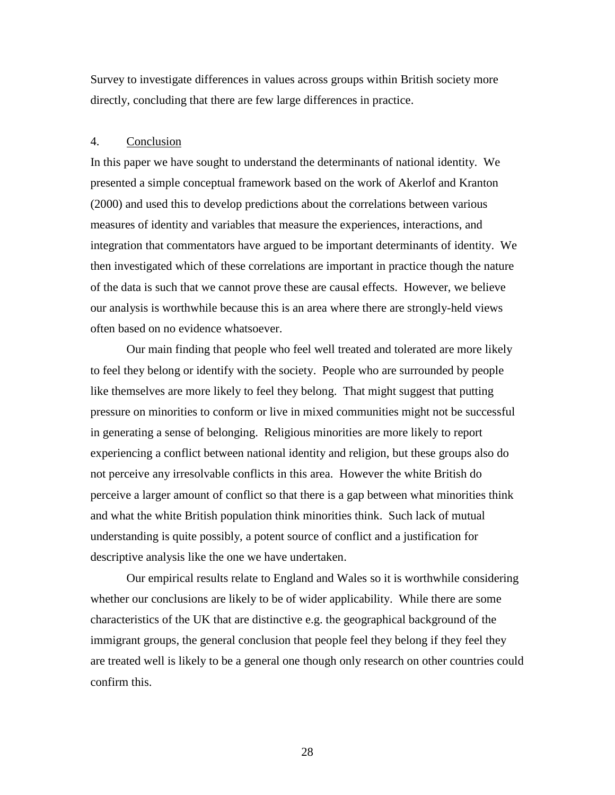Survey to investigate differences in values across groups within British society more directly, concluding that there are few large differences in practice.

#### 4. Conclusion

In this paper we have sought to understand the determinants of national identity. We presented a simple conceptual framework based on the work of Akerlof and Kranton (2000) and used this to develop predictions about the correlations between various measures of identity and variables that measure the experiences, interactions, and integration that commentators have argued to be important determinants of identity. We then investigated which of these correlations are important in practice though the nature of the data is such that we cannot prove these are causal effects. However, we believe our analysis is worthwhile because this is an area where there are strongly-held views often based on no evidence whatsoever.

Our main finding that people who feel well treated and tolerated are more likely to feel they belong or identify with the society. People who are surrounded by people like themselves are more likely to feel they belong. That might suggest that putting pressure on minorities to conform or live in mixed communities might not be successful in generating a sense of belonging. Religious minorities are more likely to report experiencing a conflict between national identity and religion, but these groups also do not perceive any irresolvable conflicts in this area. However the white British do perceive a larger amount of conflict so that there is a gap between what minorities think and what the white British population think minorities think. Such lack of mutual understanding is quite possibly, a potent source of conflict and a justification for descriptive analysis like the one we have undertaken.

Our empirical results relate to England and Wales so it is worthwhile considering whether our conclusions are likely to be of wider applicability. While there are some characteristics of the UK that are distinctive e.g. the geographical background of the immigrant groups, the general conclusion that people feel they belong if they feel they are treated well is likely to be a general one though only research on other countries could confirm this.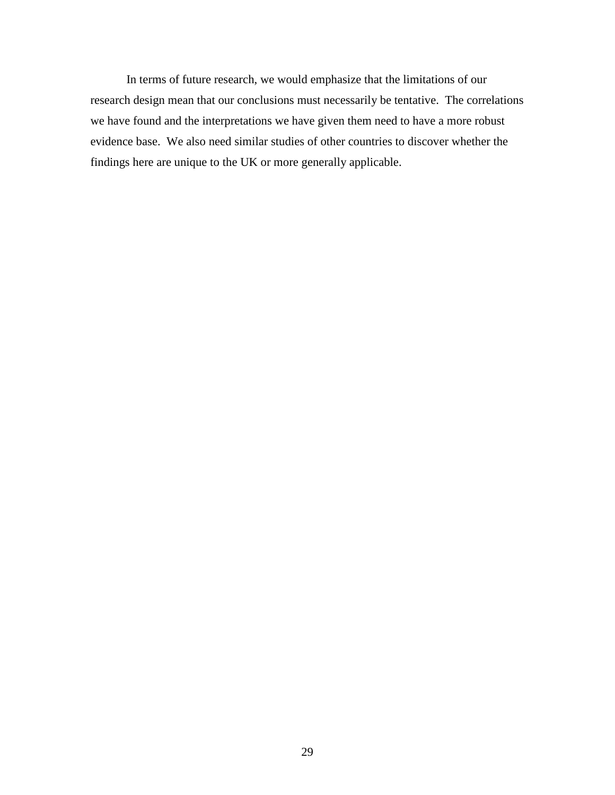In terms of future research, we would emphasize that the limitations of our research design mean that our conclusions must necessarily be tentative. The correlations we have found and the interpretations we have given them need to have a more robust evidence base. We also need similar studies of other countries to discover whether the findings here are unique to the UK or more generally applicable.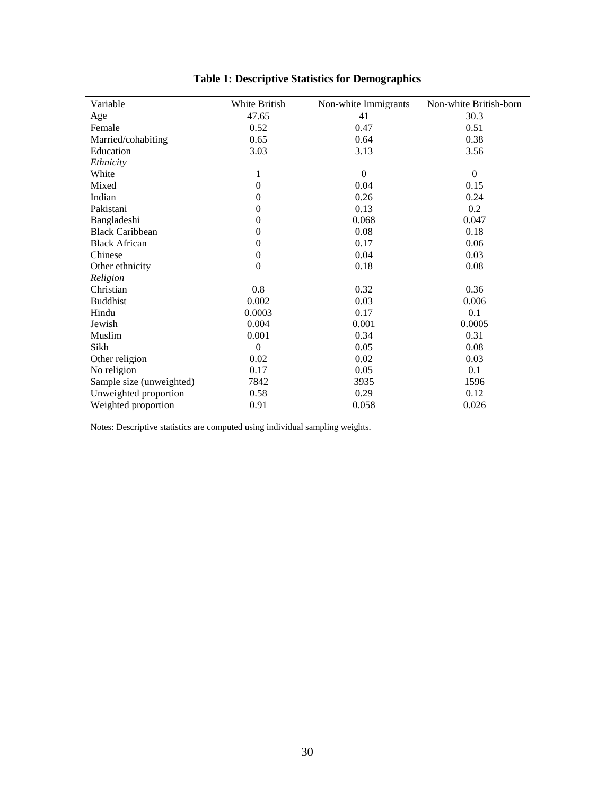| Variable                 | White British | Non-white Immigrants | Non-white British-born |
|--------------------------|---------------|----------------------|------------------------|
| Age                      | 47.65         | 41                   | 30.3                   |
| Female                   | 0.52          | 0.47                 | 0.51                   |
| Married/cohabiting       | 0.65          | 0.64                 | 0.38                   |
| Education                | 3.03          | 3.13                 | 3.56                   |
| Ethnicity                |               |                      |                        |
| White                    | 1             | $\Omega$             | $\overline{0}$         |
| Mixed                    | $\theta$      | 0.04                 | 0.15                   |
| Indian                   | $\theta$      | 0.26                 | 0.24                   |
| Pakistani                | $\theta$      | 0.13                 | 0.2                    |
| Bangladeshi              | $\theta$      | 0.068                | 0.047                  |
| <b>Black Caribbean</b>   | 0             | 0.08                 | 0.18                   |
| <b>Black African</b>     | $\theta$      | 0.17                 | 0.06                   |
| Chinese                  | $\theta$      | 0.04                 | 0.03                   |
| Other ethnicity          | $\theta$      | 0.18                 | 0.08                   |
| Religion                 |               |                      |                        |
| Christian                | 0.8           | 0.32                 | 0.36                   |
| <b>Buddhist</b>          | 0.002         | 0.03                 | 0.006                  |
| Hindu                    | 0.0003        | 0.17                 | 0.1                    |
| Jewish                   | 0.004         | 0.001                | 0.0005                 |
| Muslim                   | 0.001         | 0.34                 | 0.31                   |
| Sikh                     | $\mathbf{0}$  | 0.05                 | 0.08                   |
| Other religion           | 0.02          | 0.02                 | 0.03                   |
| No religion              | 0.17          | 0.05                 | 0.1                    |
| Sample size (unweighted) | 7842          | 3935                 | 1596                   |
| Unweighted proportion    | 0.58          | 0.29                 | 0.12                   |
| Weighted proportion      | 0.91          | 0.058                | 0.026                  |

#### **Table 1: Descriptive Statistics for Demographics**

Notes: Descriptive statistics are computed using individual sampling weights.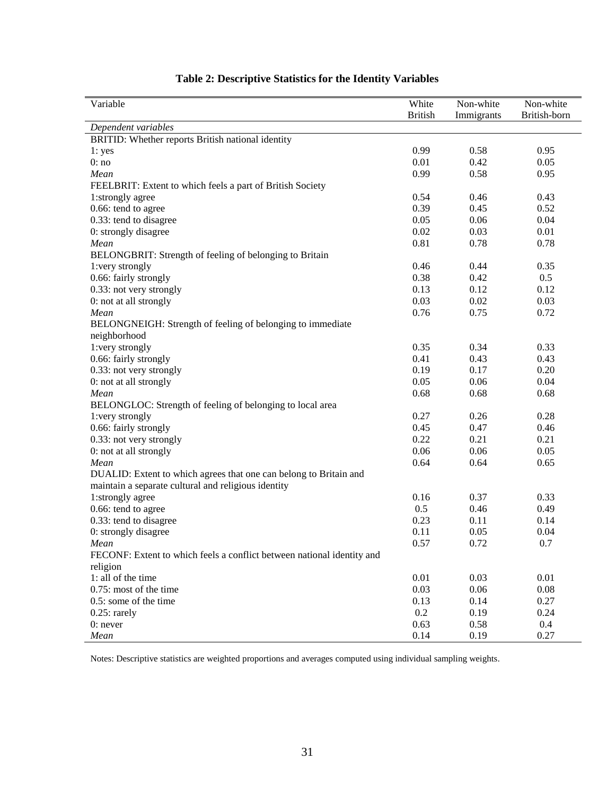| Variable                                                               | White          | Non-white  | Non-white    |
|------------------------------------------------------------------------|----------------|------------|--------------|
|                                                                        | <b>British</b> | Immigrants | British-born |
| Dependent variables                                                    |                |            |              |
| BRITID: Whether reports British national identity                      |                |            |              |
| 1: yes                                                                 | 0.99           | 0.58       | 0.95         |
| 0:no                                                                   | 0.01           | 0.42       | 0.05         |
| Mean                                                                   | 0.99           | 0.58       | 0.95         |
| FEELBRIT: Extent to which feels a part of British Society              |                |            |              |
| 1:strongly agree                                                       | 0.54           | 0.46       | 0.43         |
| 0.66: tend to agree                                                    | 0.39           | 0.45       | 0.52         |
| 0.33: tend to disagree                                                 | 0.05           | 0.06       | 0.04         |
| 0: strongly disagree                                                   | 0.02           | 0.03       | 0.01         |
| Mean                                                                   | 0.81           | 0.78       | 0.78         |
| BELONGBRIT: Strength of feeling of belonging to Britain                |                |            |              |
| 1:very strongly                                                        | 0.46           | 0.44       | 0.35         |
| 0.66: fairly strongly                                                  | 0.38           | 0.42       | 0.5          |
| 0.33: not very strongly                                                | 0.13           | 0.12       | 0.12         |
| 0: not at all strongly                                                 | 0.03           | 0.02       | 0.03         |
| Mean                                                                   | 0.76           | 0.75       | 0.72         |
| BELONGNEIGH: Strength of feeling of belonging to immediate             |                |            |              |
| neighborhood                                                           |                |            |              |
| 1:very strongly                                                        | 0.35           | 0.34       | 0.33         |
| 0.66: fairly strongly                                                  | 0.41           | 0.43       | 0.43         |
|                                                                        | 0.19           | 0.17       | 0.20         |
| 0.33: not very strongly                                                | 0.05           | 0.06       | 0.04         |
| 0: not at all strongly                                                 |                |            |              |
| Mean                                                                   | 0.68           | 0.68       | 0.68         |
| BELONGLOC: Strength of feeling of belonging to local area              |                |            |              |
| 1:very strongly                                                        | 0.27           | 0.26       | 0.28         |
| 0.66: fairly strongly                                                  | 0.45           | 0.47       | 0.46         |
| 0.33: not very strongly                                                | 0.22           | 0.21       | 0.21         |
| 0: not at all strongly                                                 | 0.06           | 0.06       | 0.05         |
| Mean                                                                   | 0.64           | 0.64       | 0.65         |
| DUALID: Extent to which agrees that one can belong to Britain and      |                |            |              |
| maintain a separate cultural and religious identity                    |                |            |              |
| 1:strongly agree                                                       | 0.16           | 0.37       | 0.33         |
| 0.66: tend to agree                                                    | 0.5            | 0.46       | 0.49         |
| 0.33: tend to disagree                                                 | 0.23           | 0.11       | 0.14         |
| 0: strongly disagree                                                   | 0.11           | 0.05       | 0.04         |
| Mean                                                                   | 0.57           | 0.72       | 0.7          |
| FECONF: Extent to which feels a conflict between national identity and |                |            |              |
| religion                                                               |                |            |              |
| 1: all of the time                                                     | 0.01           | 0.03       | 0.01         |
| 0.75: most of the time                                                 | 0.03           | 0.06       | 0.08         |
| 0.5: some of the time                                                  | 0.13           | 0.14       | 0.27         |
| $0.25$ : rarely                                                        | 0.2            | 0.19       | 0.24         |
| $0:$ never                                                             | 0.63           | 0.58       | 0.4          |
| Mean                                                                   | 0.14           | 0.19       | 0.27         |

#### **Table 2: Descriptive Statistics for the Identity Variables**

Notes: Descriptive statistics are weighted proportions and averages computed using individual sampling weights.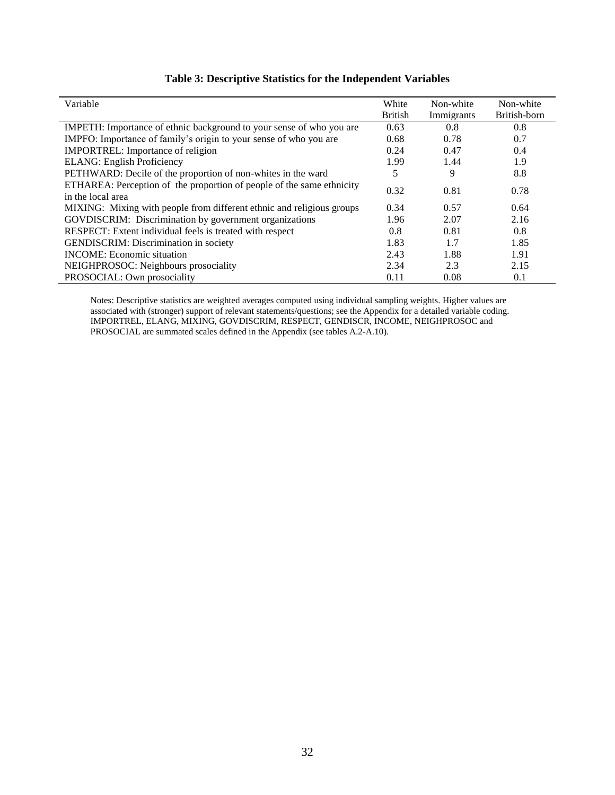| Variable                                                                                   | White<br><b>British</b> | Non-white<br>Immigrants | Non-white<br>British-born |
|--------------------------------------------------------------------------------------------|-------------------------|-------------------------|---------------------------|
| IMPETH: Importance of ethnic background to your sense of who you are                       | 0.63                    | 0.8                     | 0.8                       |
| IMPFO: Importance of family's origin to your sense of who you are                          | 0.68                    | 0.78                    | 0.7                       |
| IMPORTREL: Importance of religion                                                          | 0.24                    | 0.47                    | 0.4                       |
| <b>ELANG: English Proficiency</b>                                                          | 1.99                    | 1.44                    | 1.9                       |
| PETHWARD: Decile of the proportion of non-whites in the ward                               | 5                       | 9                       | 8.8                       |
| ETHAREA: Perception of the proportion of people of the same ethnicity<br>in the local area | 0.32                    | 0.81                    | 0.78                      |
| MIXING: Mixing with people from different ethnic and religious groups                      | 0.34                    | 0.57                    | 0.64                      |
| GOVDISCRIM: Discrimination by government organizations                                     | 1.96                    | 2.07                    | 2.16                      |
| RESPECT: Extent individual feels is treated with respect                                   | 0.8                     | 0.81                    | 0.8                       |
| <b>GENDISCRIM:</b> Discrimination in society                                               | 1.83                    | 1.7                     | 1.85                      |
| <b>INCOME:</b> Economic situation                                                          | 2.43                    | 1.88                    | 1.91                      |
| NEIGHPROSOC: Neighbours prosociality                                                       | 2.34                    | 2.3                     | 2.15                      |
| PROSOCIAL: Own prosociality                                                                | 0.11                    | 0.08                    | 0.1                       |

#### **Table 3: Descriptive Statistics for the Independent Variables**

Notes: Descriptive statistics are weighted averages computed using individual sampling weights. Higher values are associated with (stronger) support of relevant statements/questions; see the Appendix for a detailed variable coding. IMPORTREL, ELANG, MIXING, GOVDISCRIM, RESPECT, GENDISCR, INCOME, NEIGHPROSOC and PROSOCIAL are summated scales defined in the Appendix (see tables A.2-A.10).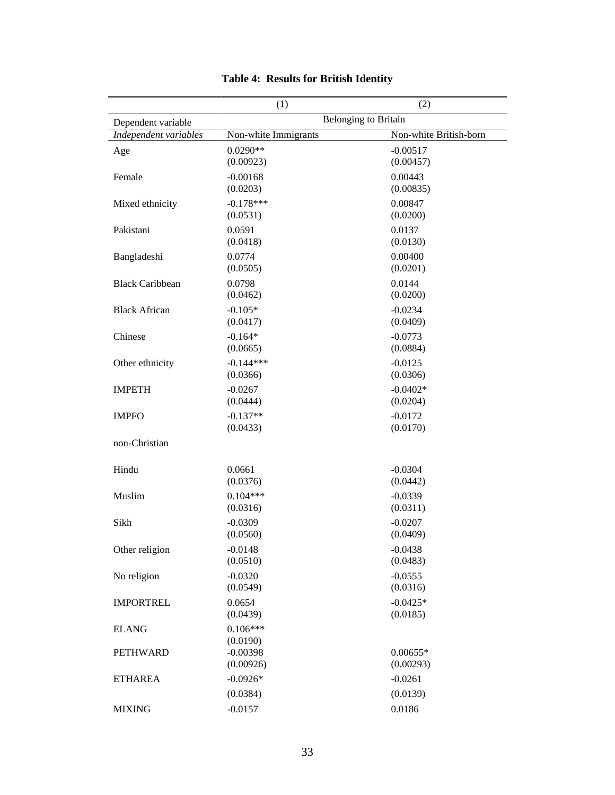|                        | (1)                         | (2)                     |  |  |  |  |  |
|------------------------|-----------------------------|-------------------------|--|--|--|--|--|
| Dependent variable     | <b>Belonging to Britain</b> |                         |  |  |  |  |  |
| Independent variables  | Non-white Immigrants        | Non-white British-born  |  |  |  |  |  |
| Age                    | $0.0290**$<br>(0.00923)     | $-0.00517$<br>(0.00457) |  |  |  |  |  |
| Female                 | $-0.00168$<br>(0.0203)      | 0.00443<br>(0.00835)    |  |  |  |  |  |
| Mixed ethnicity        | $-0.178***$<br>(0.0531)     | 0.00847<br>(0.0200)     |  |  |  |  |  |
| Pakistani              | 0.0591<br>(0.0418)          | 0.0137<br>(0.0130)      |  |  |  |  |  |
| Bangladeshi            | 0.0774<br>(0.0505)          | 0.00400<br>(0.0201)     |  |  |  |  |  |
| <b>Black Caribbean</b> | 0.0798<br>(0.0462)          | 0.0144<br>(0.0200)      |  |  |  |  |  |
| <b>Black African</b>   | $-0.105*$<br>(0.0417)       | $-0.0234$<br>(0.0409)   |  |  |  |  |  |
| Chinese                | $-0.164*$<br>(0.0665)       | $-0.0773$<br>(0.0884)   |  |  |  |  |  |
| Other ethnicity        | $-0.144***$<br>(0.0366)     | $-0.0125$<br>(0.0306)   |  |  |  |  |  |
| <b>IMPETH</b>          | $-0.0267$<br>(0.0444)       | $-0.0402*$<br>(0.0204)  |  |  |  |  |  |
| <b>IMPFO</b>           | $-0.137**$<br>(0.0433)      | $-0.0172$<br>(0.0170)   |  |  |  |  |  |
| non-Christian          |                             |                         |  |  |  |  |  |
| Hindu                  | 0.0661<br>(0.0376)          | $-0.0304$<br>(0.0442)   |  |  |  |  |  |
| Muslim                 | $0.104***$<br>(0.0316)      | $-0.0339$<br>(0.0311)   |  |  |  |  |  |
| Sikh                   | $-0.0309$<br>(0.0560)       | $-0.0207$<br>(0.0409)   |  |  |  |  |  |
| Other religion         | $-0.0148$<br>(0.0510)       | $-0.0438$<br>(0.0483)   |  |  |  |  |  |
| No religion            | $-0.0320$<br>(0.0549)       | $-0.0555$<br>(0.0316)   |  |  |  |  |  |
| <b>IMPORTREL</b>       | 0.0654<br>(0.0439)          | $-0.0425*$<br>(0.0185)  |  |  |  |  |  |
| <b>ELANG</b>           | $0.106***$<br>(0.0190)      |                         |  |  |  |  |  |
| <b>PETHWARD</b>        | $-0.00398$<br>(0.00926)     | $0.00655*$<br>(0.00293) |  |  |  |  |  |
| <b>ETHAREA</b>         | $-0.0926*$                  | $-0.0261$               |  |  |  |  |  |
|                        | (0.0384)                    | (0.0139)                |  |  |  |  |  |
| <b>MIXING</b>          | $-0.0157$                   | 0.0186                  |  |  |  |  |  |

#### **Table 4: Results for British Identity**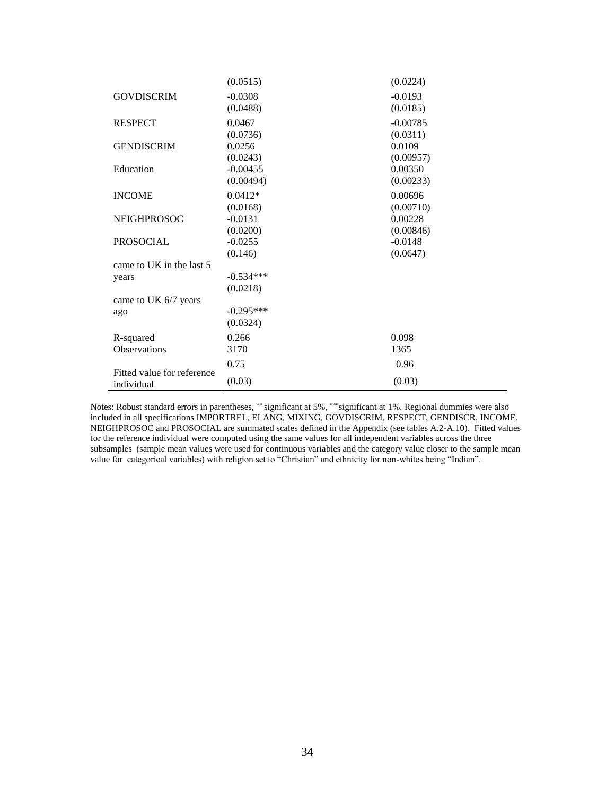|                                          | (0.0515)    | (0.0224)   |
|------------------------------------------|-------------|------------|
| <b>GOVDISCRIM</b>                        | $-0.0308$   | $-0.0193$  |
|                                          | (0.0488)    | (0.0185)   |
| <b>RESPECT</b>                           | 0.0467      | $-0.00785$ |
|                                          | (0.0736)    | (0.0311)   |
| <b>GENDISCRIM</b>                        | 0.0256      | 0.0109     |
|                                          | (0.0243)    | (0.00957)  |
| Education                                | $-0.00455$  | 0.00350    |
|                                          | (0.00494)   | (0.00233)  |
| <b>INCOME</b>                            | $0.0412*$   | 0.00696    |
|                                          | (0.0168)    | (0.00710)  |
| NEIGHPROSOC                              | $-0.0131$   | 0.00228    |
|                                          | (0.0200)    | (0.00846)  |
| PROSOCIAL                                | $-0.0255$   | $-0.0148$  |
|                                          | (0.146)     | (0.0647)   |
| came to UK in the last 5                 |             |            |
| years                                    | $-0.534***$ |            |
|                                          | (0.0218)    |            |
| came to UK 6/7 years                     |             |            |
| ago                                      | $-0.295***$ |            |
|                                          | (0.0324)    |            |
| R-squared                                | 0.266       | 0.098      |
| Observations                             | 3170        | 1365       |
|                                          | 0.75        | 0.96       |
| Fitted value for reference<br>individual | (0.03)      | (0.03)     |

Notes: Robust standard errors in parentheses, \*\* significant at 5%, \*\*\*significant at 1%. Regional dummies were also included in all specifications IMPORTREL, ELANG, MIXING, GOVDISCRIM, RESPECT, GENDISCR, INCOME, NEIGHPROSOC and PROSOCIAL are summated scales defined in the Appendix (see tables A.2-A.10). Fitted values for the reference individual were computed using the same values for all independent variables across the three subsamples (sample mean values were used for continuous variables and the category value closer to the sample mean value for categorical variables) with religion set to "Christian" and ethnicity for non-whites being "Indian".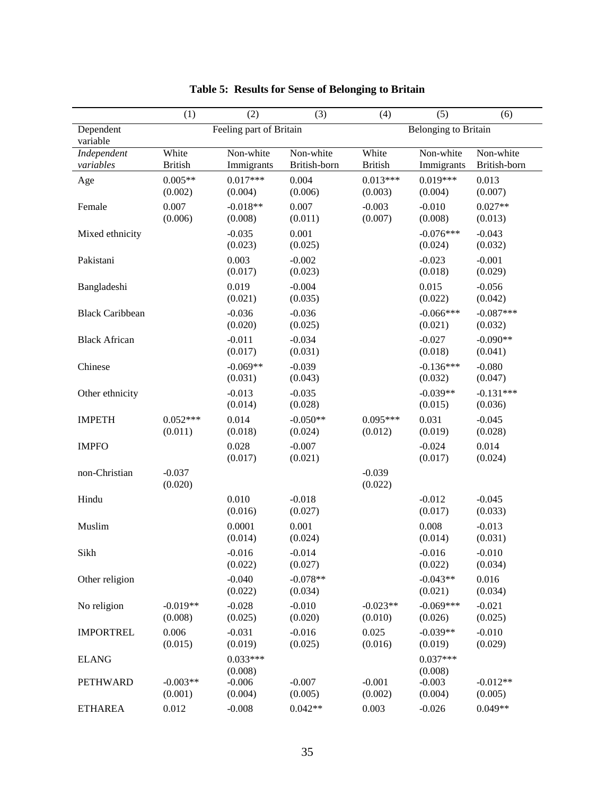|                          | (1)                     | (2)                     | (3)                       | (4)                     | (5)                         | (6)                       |
|--------------------------|-------------------------|-------------------------|---------------------------|-------------------------|-----------------------------|---------------------------|
| Dependent<br>variable    |                         | Feeling part of Britain |                           |                         | <b>Belonging to Britain</b> |                           |
| Independent<br>variables | White<br><b>British</b> | Non-white<br>Immigrants | Non-white<br>British-born | White<br><b>British</b> | Non-white<br>Immigrants     | Non-white<br>British-born |
| Age                      | $0.005**$<br>(0.002)    | $0.017***$<br>(0.004)   | 0.004<br>(0.006)          | $0.013***$<br>(0.003)   | $0.019***$<br>(0.004)       | 0.013<br>(0.007)          |
| Female                   | 0.007<br>(0.006)        | $-0.018**$<br>(0.008)   | 0.007<br>(0.011)          | $-0.003$<br>(0.007)     | $-0.010$<br>(0.008)         | $0.027**$<br>(0.013)      |
| Mixed ethnicity          |                         | $-0.035$<br>(0.023)     | 0.001<br>(0.025)          |                         | $-0.076***$<br>(0.024)      | $-0.043$<br>(0.032)       |
| Pakistani                |                         | 0.003<br>(0.017)        | $-0.002$<br>(0.023)       |                         | $-0.023$<br>(0.018)         | $-0.001$<br>(0.029)       |
| Bangladeshi              |                         | 0.019<br>(0.021)        | $-0.004$<br>(0.035)       |                         | 0.015<br>(0.022)            | $-0.056$<br>(0.042)       |
| <b>Black Caribbean</b>   |                         | $-0.036$<br>(0.020)     | $-0.036$<br>(0.025)       |                         | $-0.066***$<br>(0.021)      | $-0.087***$<br>(0.032)    |
| <b>Black African</b>     |                         | $-0.011$<br>(0.017)     | $-0.034$<br>(0.031)       |                         | $-0.027$<br>(0.018)         | $-0.090**$<br>(0.041)     |
| Chinese                  |                         | $-0.069**$<br>(0.031)   | $-0.039$<br>(0.043)       |                         | $-0.136***$<br>(0.032)      | $-0.080$<br>(0.047)       |
| Other ethnicity          |                         | $-0.013$<br>(0.014)     | $-0.035$<br>(0.028)       |                         | $-0.039**$<br>(0.015)       | $-0.131***$<br>(0.036)    |
| <b>IMPETH</b>            | $0.052***$<br>(0.011)   | 0.014<br>(0.018)        | $-0.050**$<br>(0.024)     | $0.095***$<br>(0.012)   | 0.031<br>(0.019)            | $-0.045$<br>(0.028)       |
| <b>IMPFO</b>             |                         | 0.028<br>(0.017)        | $-0.007$<br>(0.021)       |                         | $-0.024$<br>(0.017)         | 0.014<br>(0.024)          |
| non-Christian            | $-0.037$<br>(0.020)     |                         |                           | $-0.039$<br>(0.022)     |                             |                           |
| Hindu                    |                         | 0.010<br>(0.016)        | $-0.018$<br>(0.027)       |                         | $-0.012$<br>(0.017)         | $-0.045$<br>(0.033)       |
| Muslim                   |                         | 0.0001<br>(0.014)       | 0.001<br>(0.024)          |                         | 0.008<br>(0.014)            | $-0.013$<br>(0.031)       |
| Sikh                     |                         | $-0.016$<br>(0.022)     | $-0.014$<br>(0.027)       |                         | $-0.016$<br>(0.022)         | $-0.010$<br>(0.034)       |
| Other religion           |                         | $-0.040$<br>(0.022)     | $-0.078**$<br>(0.034)     |                         | $-0.043**$<br>(0.021)       | 0.016<br>(0.034)          |
| No religion              | $-0.019**$<br>(0.008)   | $-0.028$<br>(0.025)     | $-0.010$<br>(0.020)       | $-0.023**$<br>(0.010)   | $-0.069***$<br>(0.026)      | $-0.021$<br>(0.025)       |
| <b>IMPORTREL</b>         | 0.006<br>(0.015)        | $-0.031$<br>(0.019)     | $-0.016$<br>(0.025)       | 0.025<br>(0.016)        | $-0.039**$<br>(0.019)       | $-0.010$<br>(0.029)       |
| <b>ELANG</b>             |                         | $0.033***$<br>(0.008)   |                           |                         | $0.037***$<br>(0.008)       |                           |
| <b>PETHWARD</b>          | $-0.003**$<br>(0.001)   | $-0.006$<br>(0.004)     | $-0.007$<br>(0.005)       | $-0.001$<br>(0.002)     | $-0.003$<br>(0.004)         | $-0.012**$<br>(0.005)     |
| <b>ETHAREA</b>           | 0.012                   | $-0.008$                | $0.042**$                 | 0.003                   | $-0.026$                    | $0.049**$                 |

**Table 5: Results for Sense of Belonging to Britain**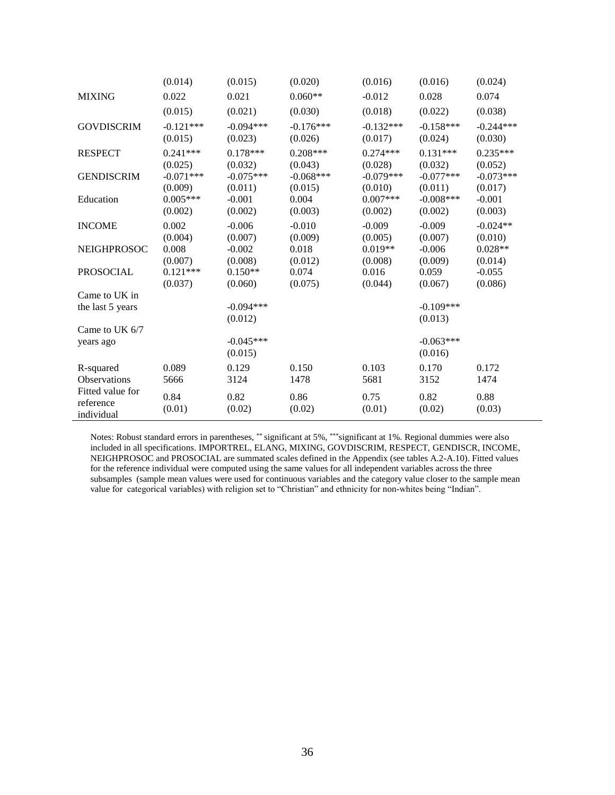|                                             | (0.014)        | (0.015)                | (0.020)        | (0.016)        | (0.016)                | (0.024)        |
|---------------------------------------------|----------------|------------------------|----------------|----------------|------------------------|----------------|
| <b>MIXING</b>                               | 0.022          | 0.021                  | $0.060**$      | $-0.012$       | 0.028                  | 0.074          |
|                                             | (0.015)        | (0.021)                | (0.030)        | (0.018)        | (0.022)                | (0.038)        |
| <b>GOVDISCRIM</b>                           | $-0.121***$    | $-0.094***$            | $-0.176***$    | $-0.132***$    | $-0.158***$            | $-0.244***$    |
|                                             | (0.015)        | (0.023)                | (0.026)        | (0.017)        | (0.024)                | (0.030)        |
| <b>RESPECT</b>                              | $0.241***$     | $0.178***$             | $0.208***$     | $0.274***$     | $0.131***$             | $0.235***$     |
|                                             | (0.025)        | (0.032)                | (0.043)        | (0.028)        | (0.032)                | (0.052)        |
| <b>GENDISCRIM</b>                           | $-0.071***$    | $-0.075***$            | $-0.068***$    | $-0.079***$    | $-0.077***$            | $-0.073***$    |
|                                             | (0.009)        | (0.011)                | (0.015)        | (0.010)        | (0.011)                | (0.017)        |
| Education                                   | $0.005***$     | $-0.001$               | 0.004          | $0.007***$     | $-0.008***$            | $-0.001$       |
|                                             | (0.002)        | (0.002)                | (0.003)        | (0.002)        | (0.002)                | (0.003)        |
| <b>INCOME</b>                               | 0.002          | $-0.006$               | $-0.010$       | $-0.009$       | $-0.009$               | $-0.024**$     |
|                                             | (0.004)        | (0.007)                | (0.009)        | (0.005)        | (0.007)                | (0.010)        |
| NEIGHPROSOC                                 | 0.008          | $-0.002$               | 0.018          | $0.019**$      | $-0.006$               | $0.028**$      |
|                                             | (0.007)        | (0.008)                | (0.012)        | (0.008)        | (0.009)                | (0.014)        |
| <b>PROSOCIAL</b>                            | $0.121***$     | $0.150**$              | 0.074          | 0.016          | 0.059                  | $-0.055$       |
|                                             | (0.037)        | (0.060)                | (0.075)        | (0.044)        | (0.067)                | (0.086)        |
| Came to UK in                               |                |                        |                |                |                        |                |
| the last 5 years                            |                | $-0.094***$<br>(0.012) |                |                | $-0.109***$<br>(0.013) |                |
| Came to UK 6/7                              |                |                        |                |                |                        |                |
| years ago                                   |                | $-0.045***$<br>(0.015) |                |                | $-0.063***$<br>(0.016) |                |
| R-squared                                   | 0.089          | 0.129                  | 0.150          | 0.103          | 0.170                  | 0.172          |
| Observations                                | 5666           | 3124                   | 1478           | 5681           | 3152                   | 1474           |
| Fitted value for<br>reference<br>individual | 0.84<br>(0.01) | 0.82<br>(0.02)         | 0.86<br>(0.02) | 0.75<br>(0.01) | 0.82<br>(0.02)         | 0.88<br>(0.03) |

Notes: Robust standard errors in parentheses, \*\* significant at 5%, \*\*\*significant at 1%. Regional dummies were also included in all specifications. IMPORTREL, ELANG, MIXING, GOVDISCRIM, RESPECT, GENDISCR, INCOME, NEIGHPROSOC and PROSOCIAL are summated scales defined in the Appendix (see tables A.2-A.10). Fitted values for the reference individual were computed using the same values for all independent variables across the three subsamples (sample mean values were used for continuous variables and the category value closer to the sample mean value for categorical variables) with religion set to "Christian" and ethnicity for non-whites being "Indian".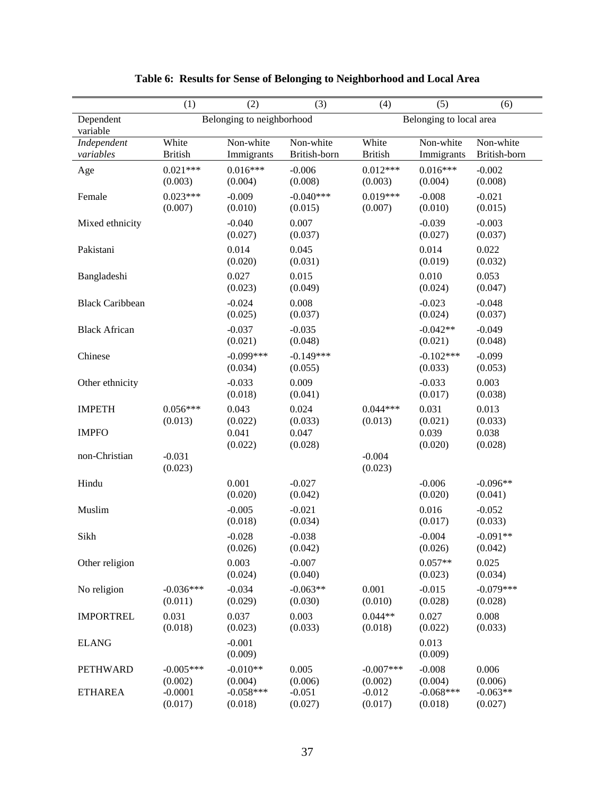|                               | (1)                     | (2)                       | (3)                       | (4)                     | (5)                       | (6)                       |  |
|-------------------------------|-------------------------|---------------------------|---------------------------|-------------------------|---------------------------|---------------------------|--|
| Dependent<br>variable         |                         | Belonging to neighborhood |                           | Belonging to local area |                           |                           |  |
| Independent<br>variables      | White<br><b>British</b> | Non-white<br>Immigrants   | Non-white<br>British-born | White<br><b>British</b> | Non-white<br>Immigrants   | Non-white<br>British-born |  |
| Age                           | $0.021***$<br>(0.003)   | $0.016***$<br>(0.004)     | $-0.006$<br>(0.008)       | $0.012***$<br>(0.003)   | $0.016***$<br>(0.004)     | $-0.002$<br>(0.008)       |  |
| Female                        | $0.023***$<br>(0.007)   | $-0.009$<br>(0.010)       | $-0.040***$<br>(0.015)    | $0.019***$<br>(0.007)   | $-0.008$<br>(0.010)       | $-0.021$<br>(0.015)       |  |
| Mixed ethnicity               |                         | $-0.040$<br>(0.027)       | 0.007<br>(0.037)          |                         | $-0.039$<br>(0.027)       | $-0.003$<br>(0.037)       |  |
| Pakistani                     |                         | 0.014<br>(0.020)          | 0.045<br>(0.031)          |                         | 0.014<br>(0.019)          | 0.022<br>(0.032)          |  |
| Bangladeshi                   |                         | 0.027<br>(0.023)          | 0.015<br>(0.049)          |                         | 0.010<br>(0.024)          | 0.053<br>(0.047)          |  |
| <b>Black Caribbean</b>        |                         | $-0.024$<br>(0.025)       | 0.008<br>(0.037)          |                         | $-0.023$<br>(0.024)       | $-0.048$<br>(0.037)       |  |
| <b>Black African</b>          |                         | $-0.037$<br>(0.021)       | $-0.035$<br>(0.048)       |                         | $-0.042**$<br>(0.021)     | $-0.049$<br>(0.048)       |  |
| Chinese                       |                         | $-0.099***$<br>(0.034)    | $-0.149***$<br>(0.055)    |                         | $-0.102***$<br>(0.033)    | $-0.099$<br>(0.053)       |  |
| Other ethnicity               |                         | $-0.033$<br>(0.018)       | 0.009<br>(0.041)          |                         | $-0.033$<br>(0.017)       | 0.003<br>(0.038)          |  |
| <b>IMPETH</b><br><b>IMPFO</b> | $0.056***$<br>(0.013)   | 0.043<br>(0.022)<br>0.041 | 0.024<br>(0.033)<br>0.047 | $0.044***$<br>(0.013)   | 0.031<br>(0.021)<br>0.039 | 0.013<br>(0.033)<br>0.038 |  |
| non-Christian                 | $-0.031$<br>(0.023)     | (0.022)                   | (0.028)                   | $-0.004$<br>(0.023)     | (0.020)                   | (0.028)                   |  |
| Hindu                         |                         | 0.001<br>(0.020)          | $-0.027$<br>(0.042)       |                         | $-0.006$<br>(0.020)       | $-0.096**$<br>(0.041)     |  |
| Muslim                        |                         | $-0.005$<br>(0.018)       | $-0.021$<br>(0.034)       |                         | 0.016<br>(0.017)          | $-0.052$<br>(0.033)       |  |
| Sikh                          |                         | $-0.028$<br>(0.026)       | $-0.038$<br>(0.042)       |                         | $-0.004$<br>(0.026)       | $-0.091**$<br>(0.042)     |  |
| Other religion                |                         | 0.003<br>(0.024)          | $-0.007$<br>(0.040)       |                         | $0.057**$<br>(0.023)      | 0.025<br>(0.034)          |  |
| No religion                   | $-0.036***$<br>(0.011)  | $-0.034$<br>(0.029)       | $-0.063**$<br>(0.030)     | 0.001<br>(0.010)        | $-0.015$<br>(0.028)       | $-0.079***$<br>(0.028)    |  |
| <b>IMPORTREL</b>              | 0.031<br>(0.018)        | 0.037<br>(0.023)          | 0.003<br>(0.033)          | $0.044**$<br>(0.018)    | 0.027<br>(0.022)          | 0.008<br>(0.033)          |  |
| <b>ELANG</b>                  |                         | $-0.001$<br>(0.009)       |                           |                         | 0.013<br>(0.009)          |                           |  |
| <b>PETHWARD</b>               | $-0.005***$<br>(0.002)  | $-0.010**$<br>(0.004)     | 0.005<br>(0.006)          | $-0.007***$<br>(0.002)  | $-0.008$<br>(0.004)       | 0.006<br>(0.006)          |  |
| <b>ETHAREA</b>                | $-0.0001$<br>(0.017)    | $-0.058***$<br>(0.018)    | $-0.051$<br>(0.027)       | $-0.012$<br>(0.017)     | $-0.068***$<br>(0.018)    | $-0.063**$<br>(0.027)     |  |

**Table 6: Results for Sense of Belonging to Neighborhood and Local Area**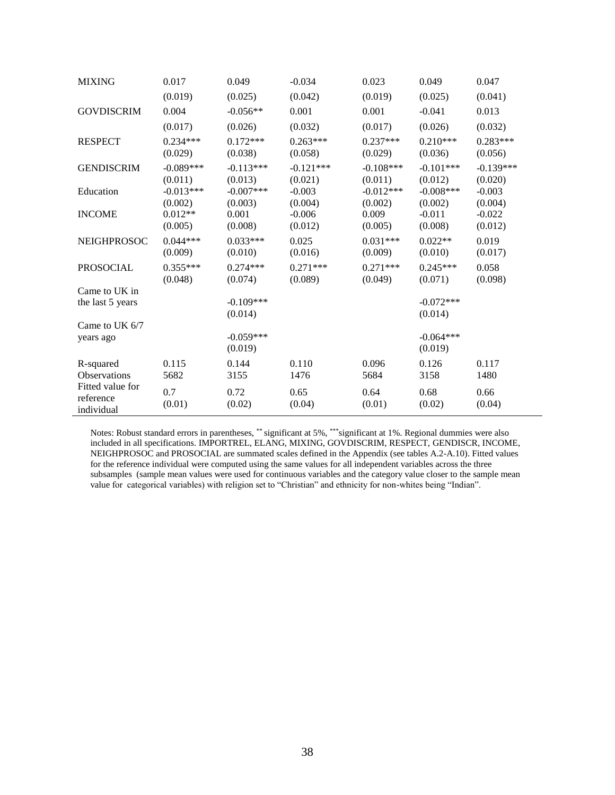| <b>MIXING</b>                               | 0.017         | 0.049                  | $-0.034$       | 0.023          | 0.049                  | 0.047          |
|---------------------------------------------|---------------|------------------------|----------------|----------------|------------------------|----------------|
|                                             | (0.019)       | (0.025)                | (0.042)        | (0.019)        | (0.025)                | (0.041)        |
| <b>GOVDISCRIM</b>                           | 0.004         | $-0.056**$             | 0.001          | 0.001          | $-0.041$               | 0.013          |
|                                             | (0.017)       | (0.026)                | (0.032)        | (0.017)        | (0.026)                | (0.032)        |
| <b>RESPECT</b>                              | $0.234***$    | $0.172***$             | $0.263***$     | $0.237***$     | $0.210***$             | $0.283***$     |
|                                             | (0.029)       | (0.038)                | (0.058)        | (0.029)        | (0.036)                | (0.056)        |
| <b>GENDISCRIM</b>                           | $-0.089***$   | $-0.113***$            | $-0.121***$    | $-0.108***$    | $-0.101***$            | $-0.139***$    |
|                                             | (0.011)       | (0.013)                | (0.021)        | (0.011)        | (0.012)                | (0.020)        |
| Education                                   | $-0.013***$   | $-0.007$ ***           | $-0.003$       | $-0.012***$    | $-0.008***$            | $-0.003$       |
|                                             | (0.002)       | (0.003)                | (0.004)        | (0.002)        | (0.002)                | (0.004)        |
| <b>INCOME</b>                               | $0.012**$     | 0.001                  | $-0.006$       | 0.009          | $-0.011$               | $-0.022$       |
|                                             | (0.005)       | (0.008)                | (0.012)        | (0.005)        | (0.008)                | (0.012)        |
| <b>NEIGHPROSOC</b>                          | $0.044***$    | $0.033***$             | 0.025          | $0.031***$     | $0.022**$              | 0.019          |
|                                             | (0.009)       | (0.010)                | (0.016)        | (0.009)        | (0.010)                | (0.017)        |
| <b>PROSOCIAL</b>                            | $0.355***$    | $0.274***$             | $0.271***$     | $0.271***$     | $0.245***$             | 0.058          |
|                                             | (0.048)       | (0.074)                | (0.089)        | (0.049)        | (0.071)                | (0.098)        |
| Came to UK in<br>the last 5 years           |               | $-0.109***$<br>(0.014) |                |                | $-0.072***$<br>(0.014) |                |
| Came to UK $6/7$<br>years ago               |               | $-0.059***$<br>(0.019) |                |                | $-0.064***$<br>(0.019) |                |
| R-squared                                   | 0.115         | 0.144                  | 0.110          | 0.096          | 0.126                  | 0.117          |
| <b>Observations</b>                         | 5682          | 3155                   | 1476           | 5684           | 3158                   | 1480           |
| Fitted value for<br>reference<br>individual | 0.7<br>(0.01) | 0.72<br>(0.02)         | 0.65<br>(0.04) | 0.64<br>(0.01) | 0.68<br>(0.02)         | 0.66<br>(0.04) |

Notes: Robust standard errors in parentheses, \*\* significant at 5%, \*\*\*significant at 1%. Regional dummies were also included in all specifications. IMPORTREL, ELANG, MIXING, GOVDISCRIM, RESPECT, GENDISCR, INCOME, NEIGHPROSOC and PROSOCIAL are summated scales defined in the Appendix (see tables A.2-A.10). Fitted values for the reference individual were computed using the same values for all independent variables across the three subsamples (sample mean values were used for continuous variables and the category value closer to the sample mean value for categorical variables) with religion set to "Christian" and ethnicity for non-whites being "Indian".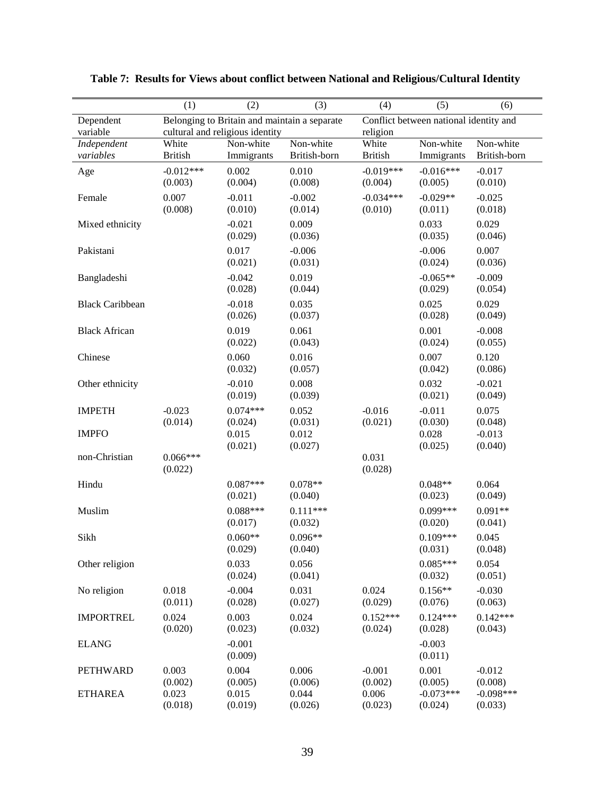|                          | (1)                     | (2)                                                                             | (3)                       | (4)                     | (5)                                    | (6)                       |
|--------------------------|-------------------------|---------------------------------------------------------------------------------|---------------------------|-------------------------|----------------------------------------|---------------------------|
| Dependent<br>variable    |                         | Belonging to Britain and maintain a separate<br>cultural and religious identity |                           | religion                | Conflict between national identity and |                           |
| Independent<br>variables | White<br><b>British</b> | Non-white<br>Immigrants                                                         | Non-white<br>British-born | White<br><b>British</b> | Non-white<br>Immigrants                | Non-white<br>British-born |
| Age                      | $-0.012***$             | 0.002                                                                           | 0.010                     | $-0.019***$             | $-0.016***$                            | $-0.017$                  |
|                          | (0.003)                 | (0.004)                                                                         | (0.008)                   | (0.004)                 | (0.005)                                | (0.010)                   |
| Female                   | 0.007<br>(0.008)        | $-0.011$<br>(0.010)                                                             | $-0.002$<br>(0.014)       | $-0.034***$<br>(0.010)  | $-0.029**$<br>(0.011)                  | $-0.025$<br>(0.018)       |
| Mixed ethnicity          |                         | $-0.021$<br>(0.029)                                                             | 0.009<br>(0.036)          |                         | 0.033<br>(0.035)                       | 0.029<br>(0.046)          |
| Pakistani                |                         | 0.017<br>(0.021)                                                                | $-0.006$<br>(0.031)       |                         | $-0.006$<br>(0.024)                    | 0.007<br>(0.036)          |
| Bangladeshi              |                         | $-0.042$<br>(0.028)                                                             | 0.019<br>(0.044)          |                         | $-0.065**$<br>(0.029)                  | $-0.009$<br>(0.054)       |
| <b>Black Caribbean</b>   |                         | $-0.018$<br>(0.026)                                                             | 0.035<br>(0.037)          |                         | 0.025<br>(0.028)                       | 0.029<br>(0.049)          |
| <b>Black African</b>     |                         | 0.019<br>(0.022)                                                                | 0.061<br>(0.043)          |                         | 0.001<br>(0.024)                       | $-0.008$<br>(0.055)       |
| Chinese                  |                         | 0.060<br>(0.032)                                                                | 0.016<br>(0.057)          |                         | 0.007<br>(0.042)                       | 0.120<br>(0.086)          |
| Other ethnicity          |                         | $-0.010$<br>(0.019)                                                             | 0.008<br>(0.039)          |                         | 0.032<br>(0.021)                       | $-0.021$<br>(0.049)       |
| <b>IMPETH</b>            | $-0.023$<br>(0.014)     | $0.074***$<br>(0.024)                                                           | 0.052<br>(0.031)          | $-0.016$<br>(0.021)     | $-0.011$<br>(0.030)                    | 0.075<br>(0.048)          |
| <b>IMPFO</b>             |                         | 0.015<br>(0.021)                                                                | 0.012<br>(0.027)          |                         | 0.028<br>(0.025)                       | $-0.013$<br>(0.040)       |
| non-Christian            | $0.066***$<br>(0.022)   |                                                                                 |                           | 0.031<br>(0.028)        |                                        |                           |
| Hindu                    |                         | $0.087***$<br>(0.021)                                                           | $0.078**$<br>(0.040)      |                         | $0.048**$<br>(0.023)                   | 0.064<br>(0.049)          |
| Muslim                   |                         | $0.088***$<br>(0.017)                                                           | $0.111***$<br>(0.032)     |                         | $0.099***$<br>(0.020)                  | $0.091**$<br>(0.041)      |
| Sikh                     |                         | $0.060**$<br>(0.029)                                                            | $0.096**$<br>(0.040)      |                         | $0.109***$<br>(0.031)                  | 0.045<br>(0.048)          |
| Other religion           |                         | 0.033<br>(0.024)                                                                | 0.056<br>(0.041)          |                         | $0.085***$<br>(0.032)                  | 0.054<br>(0.051)          |
| No religion              | 0.018<br>(0.011)        | $-0.004$<br>(0.028)                                                             | 0.031<br>(0.027)          | 0.024<br>(0.029)        | $0.156**$<br>(0.076)                   | $-0.030$<br>(0.063)       |
| <b>IMPORTREL</b>         | 0.024<br>(0.020)        | 0.003<br>(0.023)                                                                | 0.024<br>(0.032)          | $0.152***$<br>(0.024)   | $0.124***$<br>(0.028)                  | $0.142***$<br>(0.043)     |
| <b>ELANG</b>             |                         | $-0.001$<br>(0.009)                                                             |                           |                         | $-0.003$<br>(0.011)                    |                           |
| <b>PETHWARD</b>          | 0.003<br>(0.002)        | 0.004<br>(0.005)                                                                | 0.006<br>(0.006)          | $-0.001$<br>(0.002)     | 0.001<br>(0.005)                       | $-0.012$<br>(0.008)       |
| <b>ETHAREA</b>           | 0.023<br>(0.018)        | 0.015<br>(0.019)                                                                | 0.044<br>(0.026)          | 0.006<br>(0.023)        | $-0.073***$<br>(0.024)                 | $-0.098***$<br>(0.033)    |

**Table 7: Results for Views about conflict between National and Religious/Cultural Identity**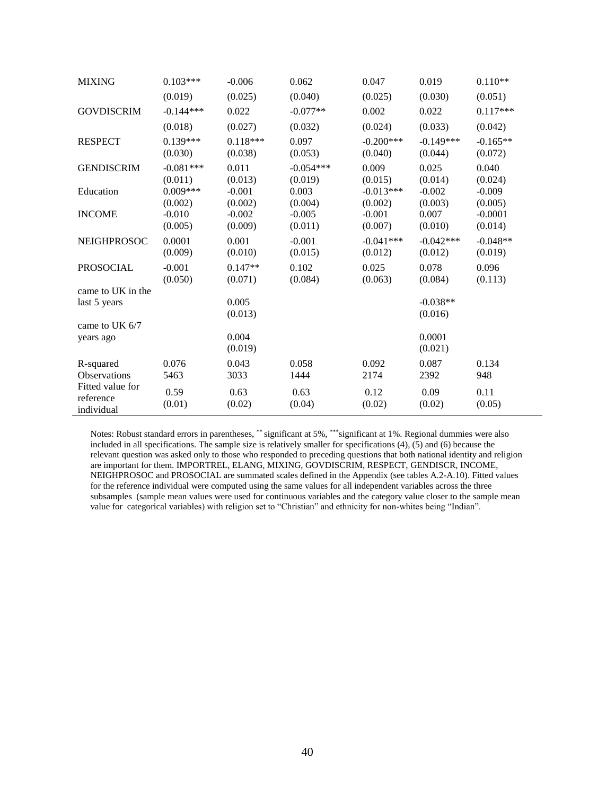| <b>MIXING</b>                               | $0.103***$             | $-0.006$              | 0.062                  | 0.047                  | 0.019                  | $0.110**$             |
|---------------------------------------------|------------------------|-----------------------|------------------------|------------------------|------------------------|-----------------------|
|                                             | (0.019)                | (0.025)               | (0.040)                | (0.025)                | (0.030)                | (0.051)               |
| <b>GOVDISCRIM</b>                           | $-0.144***$            | 0.022                 | $-0.077**$             | 0.002                  | 0.022                  | $0.117***$            |
|                                             | (0.018)                | (0.027)               | (0.032)                | (0.024)                | (0.033)                | (0.042)               |
| <b>RESPECT</b>                              | $0.139***$<br>(0.030)  | $0.118***$<br>(0.038) | 0.097<br>(0.053)       | $-0.200***$<br>(0.040) | $-0.149***$<br>(0.044) | $-0.165**$<br>(0.072) |
| <b>GENDISCRIM</b>                           | $-0.081***$<br>(0.011) | 0.011<br>(0.013)      | $-0.054***$<br>(0.019) | 0.009<br>(0.015)       | 0.025<br>(0.014)       | 0.040<br>(0.024)      |
| Education                                   | $0.009***$<br>(0.002)  | $-0.001$<br>(0.002)   | 0.003<br>(0.004)       | $-0.013***$<br>(0.002) | $-0.002$<br>(0.003)    | $-0.009$<br>(0.005)   |
| <b>INCOME</b>                               | $-0.010$<br>(0.005)    | $-0.002$<br>(0.009)   | $-0.005$<br>(0.011)    | $-0.001$<br>(0.007)    | 0.007<br>(0.010)       | $-0.0001$<br>(0.014)  |
| <b>NEIGHPROSOC</b>                          | 0.0001<br>(0.009)      | 0.001<br>(0.010)      | $-0.001$<br>(0.015)    | $-0.041***$<br>(0.012) | $-0.042***$<br>(0.012) | $-0.048**$<br>(0.019) |
| <b>PROSOCIAL</b>                            | $-0.001$<br>(0.050)    | $0.147**$<br>(0.071)  | 0.102<br>(0.084)       | 0.025<br>(0.063)       | 0.078<br>(0.084)       | 0.096<br>(0.113)      |
| came to UK in the<br>last 5 years           |                        | 0.005<br>(0.013)      |                        |                        | $-0.038**$<br>(0.016)  |                       |
| came to UK $6/7$                            |                        |                       |                        |                        |                        |                       |
| years ago                                   |                        | 0.004<br>(0.019)      |                        |                        | 0.0001<br>(0.021)      |                       |
| R-squared<br><b>Observations</b>            | 0.076<br>5463          | 0.043<br>3033         | 0.058<br>1444          | 0.092<br>2174          | 0.087<br>2392          | 0.134<br>948          |
| Fitted value for<br>reference<br>individual | 0.59<br>(0.01)         | 0.63<br>(0.02)        | 0.63<br>(0.04)         | 0.12<br>(0.02)         | 0.09<br>(0.02)         | 0.11<br>(0.05)        |

Notes: Robust standard errors in parentheses, \*\* significant at 5%, \*\*\*significant at 1%. Regional dummies were also included in all specifications. The sample size is relatively smaller for specifications (4), (5) and (6) because the relevant question was asked only to those who responded to preceding questions that both national identity and religion are important for them. IMPORTREL, ELANG, MIXING, GOVDISCRIM, RESPECT, GENDISCR, INCOME, NEIGHPROSOC and PROSOCIAL are summated scales defined in the Appendix (see tables A.2-A.10). Fitted values for the reference individual were computed using the same values for all independent variables across the three subsamples (sample mean values were used for continuous variables and the category value closer to the sample mean value for categorical variables) with religion set to "Christian" and ethnicity for non-whites being "Indian".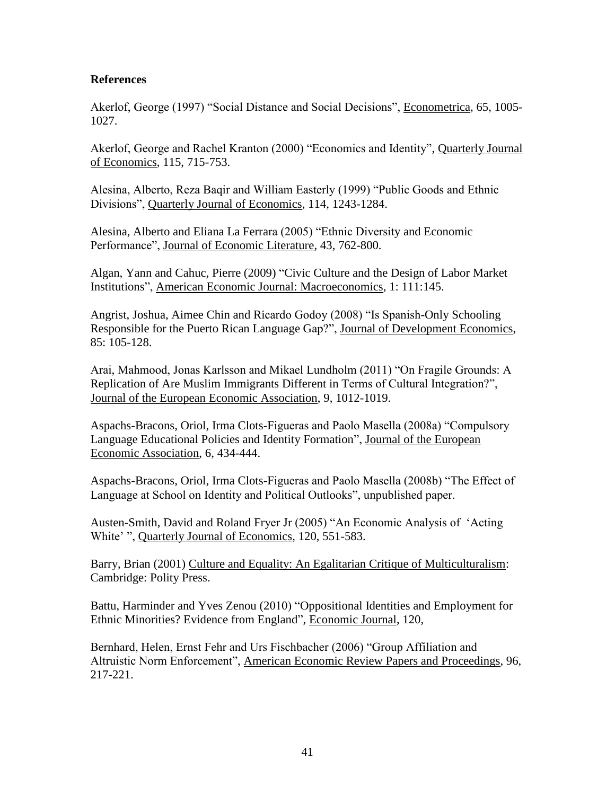#### **References**

Akerlof, George (1997) "Social Distance and Social Decisions", Econometrica, 65, 1005- 1027.

Akerlof, George and Rachel Kranton (2000) "Economics and Identity", Quarterly Journal of Economics, 115, 715-753.

Alesina, Alberto, Reza Baqir and William Easterly (1999) "Public Goods and Ethnic Divisions", Quarterly Journal of Economics, 114, 1243-1284.

Alesina, Alberto and Eliana La Ferrara (2005) "Ethnic Diversity and Economic Performance", Journal of Economic Literature, 43, 762-800.

Algan, Yann and Cahuc, Pierre (2009) "Civic Culture and the Design of Labor Market Institutions", American Economic Journal: Macroeconomics, 1: 111:145.

Angrist, Joshua, Aimee Chin and Ricardo Godoy (2008) "Is Spanish-Only Schooling Responsible for the Puerto Rican Language Gap?", Journal of Development Economics, 85: 105-128.

Arai, Mahmood, Jonas Karlsson and Mikael Lundholm (2011) "On Fragile Grounds: A Replication of Are Muslim Immigrants Different in Terms of Cultural Integration?", Journal of the European Economic Association, 9, 1012-1019.

Aspachs-Bracons, Oriol, Irma Clots-Figueras and Paolo Masella (2008a) "Compulsory Language Educational Policies and Identity Formation", Journal of the European Economic Association, 6, 434-444.

Aspachs-Bracons, Oriol, Irma Clots-Figueras and Paolo Masella (2008b) "The Effect of Language at School on Identity and Political Outlooks", unpublished paper.

Austen-Smith, David and Roland Fryer Jr (2005) "An Economic Analysis of 'Acting White' ", Quarterly Journal of Economics, 120, 551-583.

Barry, Brian (2001) Culture and Equality: An Egalitarian Critique of Multiculturalism: Cambridge: Polity Press.

Battu, Harminder and Yves Zenou (2010) "Oppositional Identities and Employment for Ethnic Minorities? Evidence from England", Economic Journal, 120,

Bernhard, Helen, Ernst Fehr and Urs Fischbacher (2006) "Group Affiliation and Altruistic Norm Enforcement", American Economic Review Papers and Proceedings, 96, 217-221.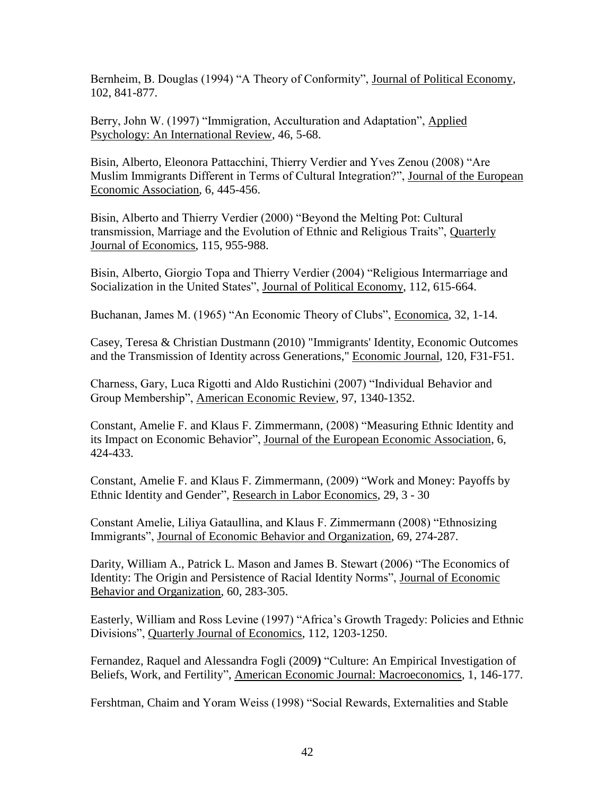Bernheim, B. Douglas (1994) "A Theory of Conformity", Journal of Political Economy, 102, 841-877.

Berry, John W. (1997) "Immigration, Acculturation and Adaptation", Applied Psychology: An International Review, 46, 5-68.

Bisin, Alberto, Eleonora Pattacchini, Thierry Verdier and Yves Zenou (2008) "Are Muslim Immigrants Different in Terms of Cultural Integration?", Journal of the European Economic Association, 6, 445-456.

Bisin, Alberto and Thierry Verdier (2000) "Beyond the Melting Pot: Cultural transmission, Marriage and the Evolution of Ethnic and Religious Traits", Quarterly Journal of Economics, 115, 955-988.

Bisin, Alberto, Giorgio Topa and Thierry Verdier (2004) "Religious Intermarriage and Socialization in the United States", Journal of Political Economy, 112, 615-664.

Buchanan, James M. (1965) "An Economic Theory of Clubs", Economica, 32, 1-14.

Casey, Teresa & Christian Dustmann (2010) ["Immigrants' Identity, Economic Outcomes](http://ideas.repec.org/a/ecj/econjl/v120y2010i542pf31-f51.html)  [and the Transmission of Identity across Generations,](http://ideas.repec.org/a/ecj/econjl/v120y2010i542pf31-f51.html)" [Economic Journal,](http://ideas.repec.org/s/ecj/econjl.html) 120, F31-F51.

Charness, Gary, Luca Rigotti and Aldo Rustichini (2007) "Individual Behavior and Group Membership", American Economic Review, 97, 1340-1352.

Constant, Amelie F. and Klaus F. Zimmermann, (2008) "Measuring Ethnic Identity and its Impact on Economic Behavior", Journal of the European Economic Association, 6, 424-433.

Constant, Amelie F. and Klaus F. Zimmermann, (2009) "Work and Money: Payoffs by Ethnic Identity and Gender", Research in Labor Economics, 29, 3 - 30

Constant Amelie, Liliya Gataullina, and Klaus F. Zimmermann (2008) "Ethnosizing Immigrants", Journal of Economic Behavior and Organization, 69, 274-287.

Darity, William A., Patrick L. Mason and James B. Stewart (2006) "The Economics of Identity: The Origin and Persistence of Racial Identity Norms", Journal of Economic Behavior and Organization, 60, 283-305.

Easterly, William and Ross Levine (1997) "Africa's Growth Tragedy: Policies and Ethnic Divisions", Quarterly Journal of Economics, 112, 1203-1250.

Fernandez, Raquel and Alessandra Fogli (2009**)** ["Culture: An Empirical Investigation of](http://homepages.nyu.edu/~rf2/Research/CulturePaperFinal.pdf) [Beliefs, Work, and Fertility"](http://homepages.nyu.edu/~rf2/Research/CulturePaperFinal.pdf), American Economic Journal: Macroeconomics, 1, 146-177.

Fershtman, Chaim and Yoram Weiss (1998) "Social Rewards, Externalities and Stable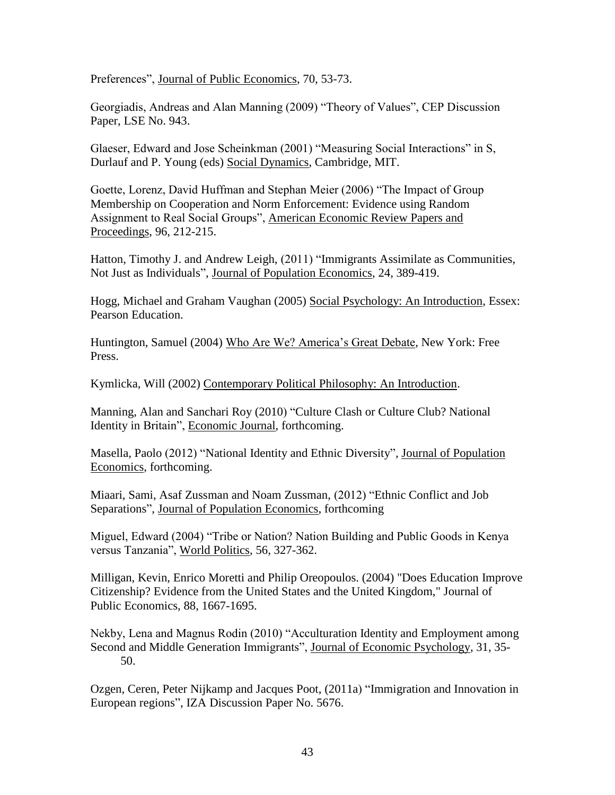Preferences", Journal of Public Economics, 70, 53-73.

Georgiadis, Andreas and Alan Manning (2009) "Theory of Values", CEP Discussion Paper, LSE No. 943.

Glaeser, Edward and Jose Scheinkman (2001) "Measuring Social Interactions" in S, Durlauf and P. Young (eds) Social Dynamics, Cambridge, MIT.

Goette, Lorenz, David Huffman and Stephan Meier (2006) "The Impact of Group Membership on Cooperation and Norm Enforcement: Evidence using Random Assignment to Real Social Groups", American Economic Review Papers and Proceedings, 96, 212-215.

Hatton, Timothy J. and Andrew Leigh, (2011) "Immigrants Assimilate as Communities, Not Just as Individuals", Journal of Population Economics, 24, 389-419.

Hogg, Michael and Graham Vaughan (2005) Social Psychology: An Introduction, Essex: Pearson Education.

Huntington, Samuel (2004) Who Are We? America's Great Debate, New York: Free Press.

Kymlicka, Will (2002) Contemporary Political Philosophy: An Introduction.

Manning, Alan and Sanchari Roy (2010) "Culture Clash or Culture Club? National Identity in Britain", Economic Journal, forthcoming.

Masella, Paolo (2012) "National Identity and Ethnic Diversity", Journal of Population Economics, forthcoming.

Miaari, Sami, Asaf Zussman and Noam Zussman, (2012) "Ethnic Conflict and Job Separations", Journal of Population Economics, forthcoming

Miguel, Edward (2004) "Tribe or Nation? Nation Building and Public Goods in Kenya versus Tanzania", World Politics, 56, 327-362.

Milligan, Kevin, Enrico Moretti and Philip Oreopoulos. (2004) "Does Education Improve Citizenship? Evidence from the United States and the United Kingdom," Journal of Public Economics, 88, 1667-1695.

Nekby, Lena and Magnus Rodin (2010) "Acculturation Identity and Employment among Second and Middle Generation Immigrants", Journal of Economic Psychology, 31, 35- 50.

Ozgen, Ceren, Peter Nijkamp and Jacques Poot, (2011a) "Immigration and Innovation in European regions", IZA Discussion Paper No. 5676.